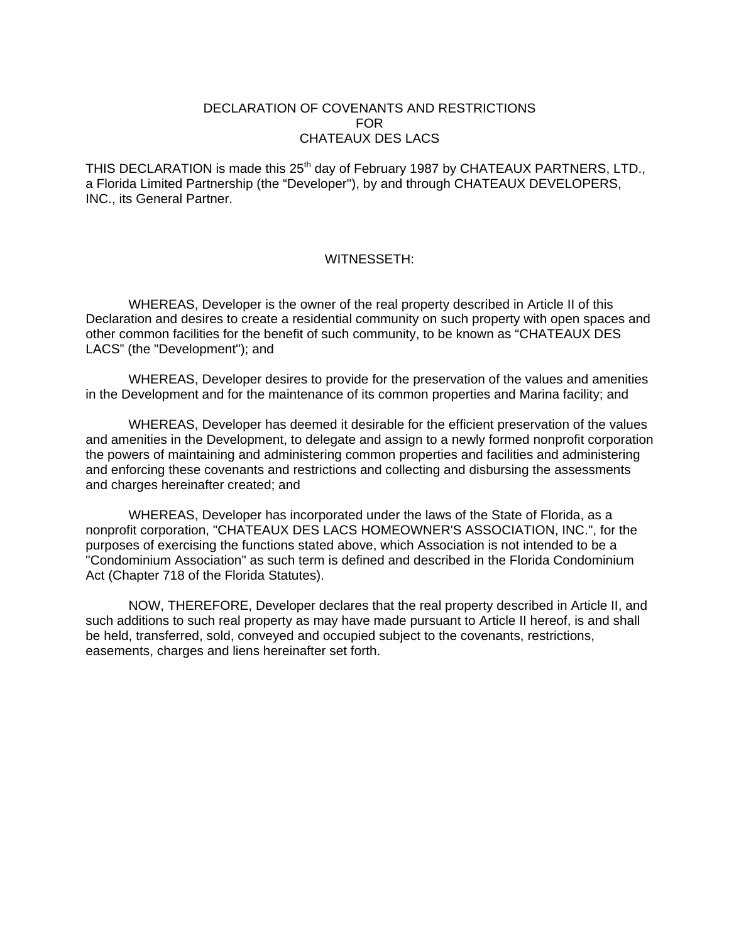# DECLARATION OF COVENANTS AND RESTRICTIONS FOR CHATEAUX DES LACS

THIS DECLARATION is made this 25<sup>th</sup> day of February 1987 by CHATEAUX PARTNERS, LTD., a Florida Limited Partnership (the "Developer"), by and through CHATEAUX DEVELOPERS, INC., its General Partner.

# WITNESSETH:

WHEREAS, Developer is the owner of the real property described in Article II of this Declaration and desires to create a residential community on such property with open spaces and other common facilities for the benefit of such community, to be known as "CHATEAUX DES LACS" (the "Development"); and

WHEREAS, Developer desires to provide for the preservation of the values and amenities in the Development and for the maintenance of its common properties and Marina facility; and

WHEREAS, Developer has deemed it desirable for the efficient preservation of the values and amenities in the Development, to delegate and assign to a newly formed nonprofit corporation the powers of maintaining and administering common properties and facilities and administering and enforcing these covenants and restrictions and collecting and disbursing the assessments and charges hereinafter created; and

WHEREAS, Developer has incorporated under the laws of the State of Florida, as a nonprofit corporation, "CHATEAUX DES LACS HOMEOWNER'S ASSOCIATION, INC.", for the purposes of exercising the functions stated above, which Association is not intended to be a "Condominium Association" as such term is defined and described in the Florida Condominium Act (Chapter 718 of the Florida Statutes).

NOW, THEREFORE, Developer declares that the real property described in Article II, and such additions to such real property as may have made pursuant to Article II hereof, is and shall be held, transferred, sold, conveyed and occupied subject to the covenants, restrictions, easements, charges and liens hereinafter set forth.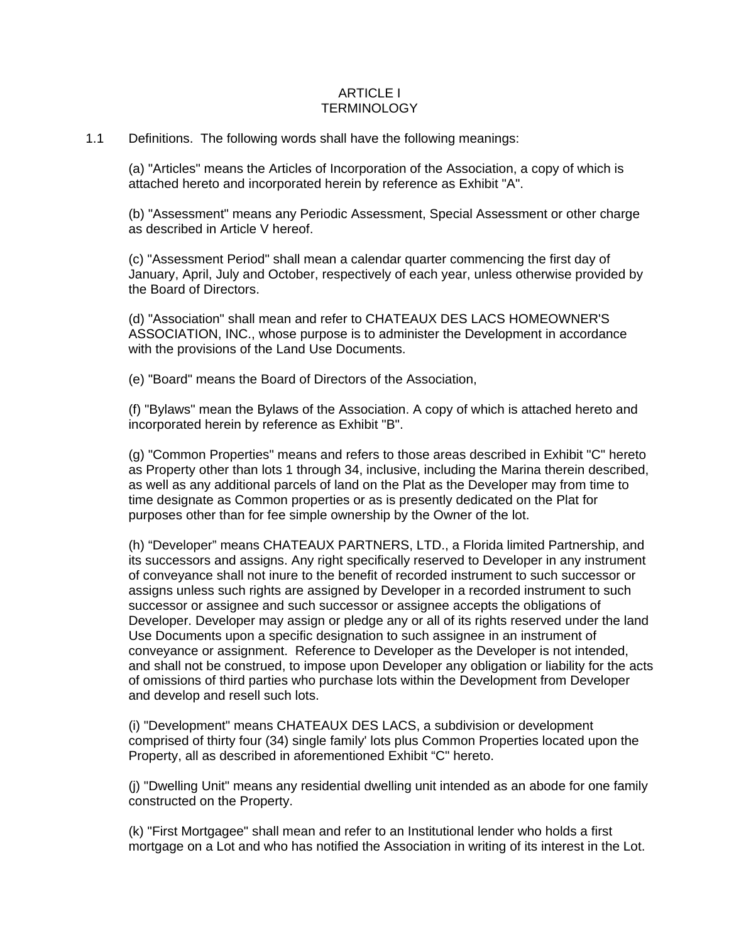### ARTICLE I TERMINOLOGY

## 1.1 Definitions. The following words shall have the following meanings:

(a) "Articles" means the Articles of Incorporation of the Association, a copy of which is attached hereto and incorporated herein by reference as Exhibit "A".

(b) "Assessment" means any Periodic Assessment, Special Assessment or other charge as described in Article V hereof.

(c) "Assessment Period" shall mean a calendar quarter commencing the first day of January, April, July and October, respectively of each year, unless otherwise provided by the Board of Directors.

(d) "Association" shall mean and refer to CHATEAUX DES LACS HOMEOWNER'S ASSOCIATION, INC., whose purpose is to administer the Development in accordance with the provisions of the Land Use Documents.

(e) "Board" means the Board of Directors of the Association,

(f) "Bylaws" mean the Bylaws of the Association. A copy of which is attached hereto and incorporated herein by reference as Exhibit "B".

(g) "Common Properties" means and refers to those areas described in Exhibit "C" hereto as Property other than lots 1 through 34, inclusive, including the Marina therein described, as well as any additional parcels of land on the Plat as the Developer may from time to time designate as Common properties or as is presently dedicated on the Plat for purposes other than for fee simple ownership by the Owner of the lot.

(h) "Developer" means CHATEAUX PARTNERS, LTD., a Florida limited Partnership, and its successors and assigns. Any right specifically reserved to Developer in any instrument of conveyance shall not inure to the benefit of recorded instrument to such successor or assigns unless such rights are assigned by Developer in a recorded instrument to such successor or assignee and such successor or assignee accepts the obligations of Developer. Developer may assign or pledge any or all of its rights reserved under the land Use Documents upon a specific designation to such assignee in an instrument of conveyance or assignment. Reference to Developer as the Developer is not intended, and shall not be construed, to impose upon Developer any obligation or liability for the acts of omissions of third parties who purchase lots within the Development from Developer and develop and resell such lots.

(i) "Development" means CHATEAUX DES LACS, a subdivision or development comprised of thirty four (34) single family' lots plus Common Properties located upon the Property, all as described in aforementioned Exhibit "C" hereto.

(j) "Dwelling Unit" means any residential dwelling unit intended as an abode for one family constructed on the Property.

(k) "First Mortgagee" shall mean and refer to an Institutional lender who holds a first mortgage on a Lot and who has notified the Association in writing of its interest in the Lot.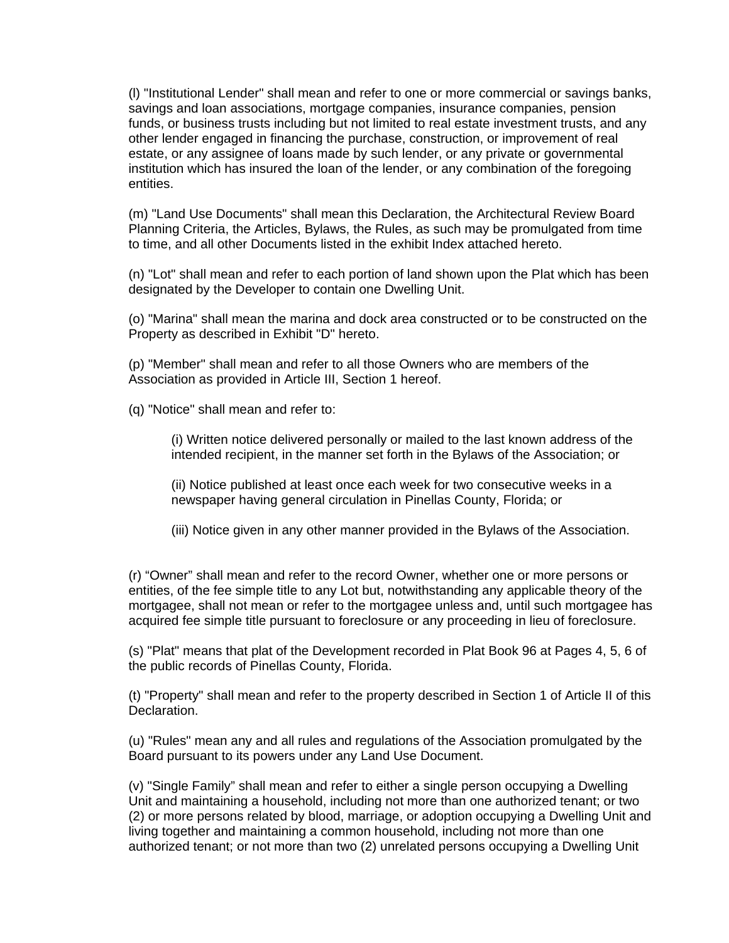(l) "Institutional Lender" shall mean and refer to one or more commercial or savings banks, savings and loan associations, mortgage companies, insurance companies, pension funds, or business trusts including but not limited to real estate investment trusts, and any other lender engaged in financing the purchase, construction, or improvement of real estate, or any assignee of loans made by such lender, or any private or governmental institution which has insured the loan of the lender, or any combination of the foregoing entities.

(m) "Land Use Documents" shall mean this Declaration, the Architectural Review Board Planning Criteria, the Articles, Bylaws, the Rules, as such may be promulgated from time to time, and all other Documents listed in the exhibit Index attached hereto.

(n) "Lot" shall mean and refer to each portion of land shown upon the Plat which has been designated by the Developer to contain one Dwelling Unit.

(o) "Marina" shall mean the marina and dock area constructed or to be constructed on the Property as described in Exhibit "D" hereto.

(p) "Member" shall mean and refer to all those Owners who are members of the Association as provided in Article III, Section 1 hereof.

(q) "Notice" shall mean and refer to:

(i) Written notice delivered personally or mailed to the last known address of the intended recipient, in the manner set forth in the Bylaws of the Association; or

(ii) Notice published at least once each week for two consecutive weeks in a newspaper having general circulation in Pinellas County, Florida; or

(iii) Notice given in any other manner provided in the Bylaws of the Association.

(r) "Owner" shall mean and refer to the record Owner, whether one or more persons or entities, of the fee simple title to any Lot but, notwithstanding any applicable theory of the mortgagee, shall not mean or refer to the mortgagee unless and, until such mortgagee has acquired fee simple title pursuant to foreclosure or any proceeding in lieu of foreclosure.

(s) "Plat" means that plat of the Development recorded in Plat Book 96 at Pages 4, 5, 6 of the public records of Pinellas County, Florida.

(t) "Property" shall mean and refer to the property described in Section 1 of Article II of this Declaration.

(u) "Rules" mean any and all rules and regulations of the Association promulgated by the Board pursuant to its powers under any Land Use Document.

(v) "Single Family" shall mean and refer to either a single person occupying a Dwelling Unit and maintaining a household, including not more than one authorized tenant; or two (2) or more persons related by blood, marriage, or adoption occupying a Dwelling Unit and living together and maintaining a common household, including not more than one authorized tenant; or not more than two (2) unrelated persons occupying a Dwelling Unit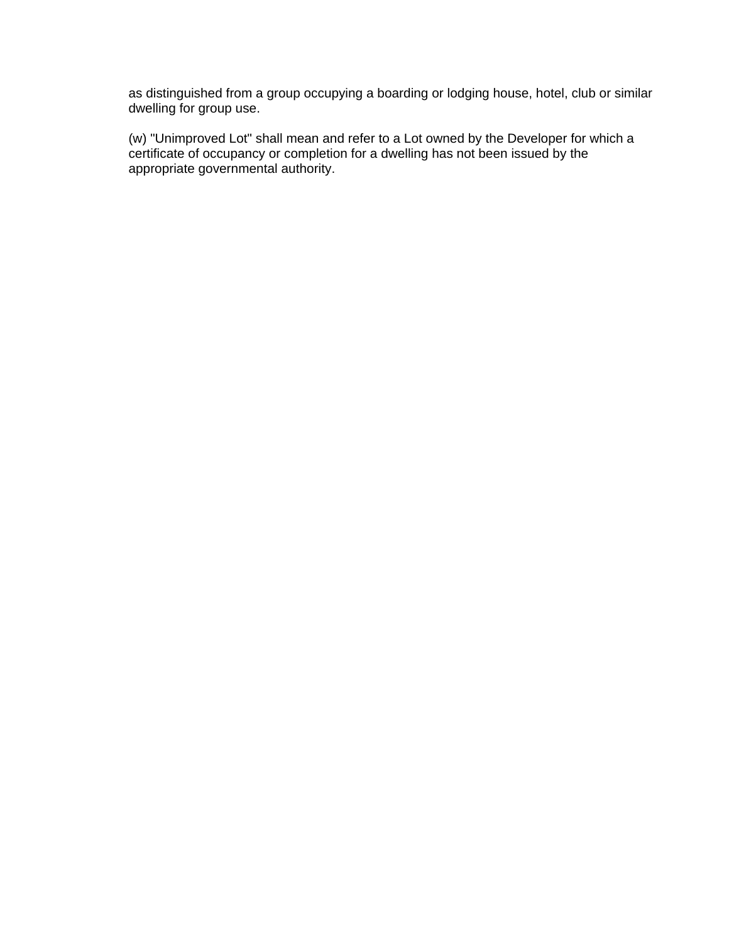as distinguished from a group occupying a boarding or lodging house, hotel, club or similar dwelling for group use.

(w) "Unimproved Lot" shall mean and refer to a Lot owned by the Developer for which a certificate of occupancy or completion for a dwelling has not been issued by the appropriate governmental authority.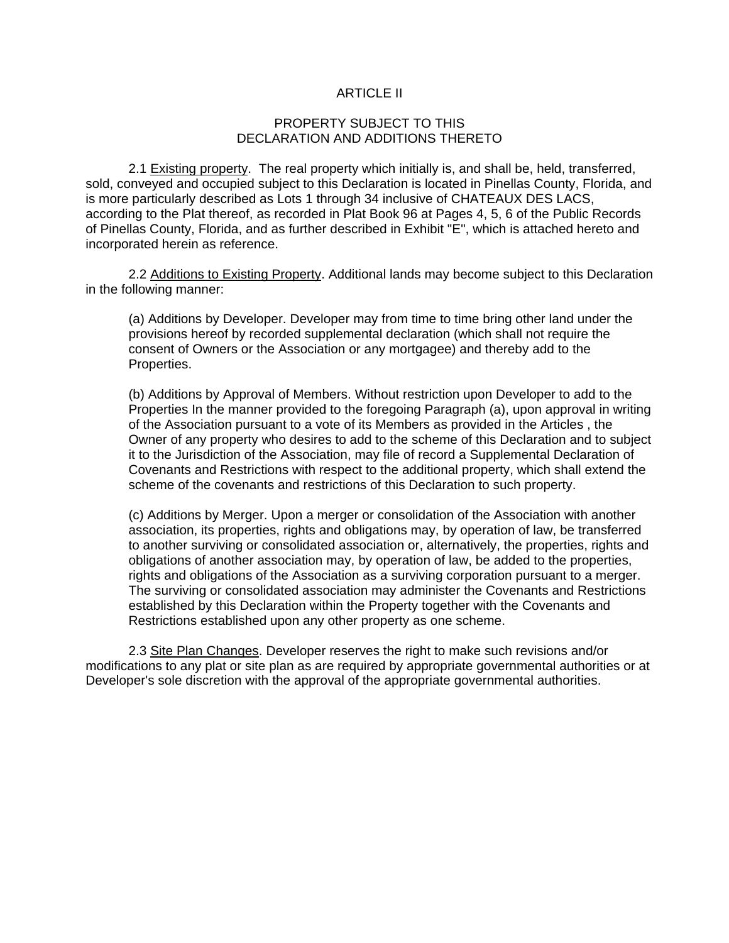# ARTICLE II

#### PROPERTY SUBJECT TO THIS DECLARATION AND ADDITIONS THERETO

2.1 Existing property. The real property which initially is, and shall be, held, transferred, sold, conveyed and occupied subject to this Declaration is located in Pinellas County, Florida, and is more particularly described as Lots 1 through 34 inclusive of CHATEAUX DES LACS, according to the Plat thereof, as recorded in Plat Book 96 at Pages 4, 5, 6 of the Public Records of Pinellas County, Florida, and as further described in Exhibit "E", which is attached hereto and incorporated herein as reference.

2.2 Additions to Existing Property. Additional lands may become subject to this Declaration in the following manner:

(a) Additions by Developer. Developer may from time to time bring other land under the provisions hereof by recorded supplemental declaration (which shall not require the consent of Owners or the Association or any mortgagee) and thereby add to the Properties.

(b) Additions by Approval of Members. Without restriction upon Developer to add to the Properties In the manner provided to the foregoing Paragraph (a), upon approval in writing of the Association pursuant to a vote of its Members as provided in the Articles , the Owner of any property who desires to add to the scheme of this Declaration and to subject it to the Jurisdiction of the Association, may file of record a Supplemental Declaration of Covenants and Restrictions with respect to the additional property, which shall extend the scheme of the covenants and restrictions of this Declaration to such property.

(c) Additions by Merger. Upon a merger or consolidation of the Association with another association, its properties, rights and obligations may, by operation of law, be transferred to another surviving or consolidated association or, alternatively, the properties, rights and obligations of another association may, by operation of law, be added to the properties, rights and obligations of the Association as a surviving corporation pursuant to a merger. The surviving or consolidated association may administer the Covenants and Restrictions established by this Declaration within the Property together with the Covenants and Restrictions established upon any other property as one scheme.

2.3 Site Plan Changes. Developer reserves the right to make such revisions and/or modifications to any plat or site plan as are required by appropriate governmental authorities or at Developer's sole discretion with the approval of the appropriate governmental authorities.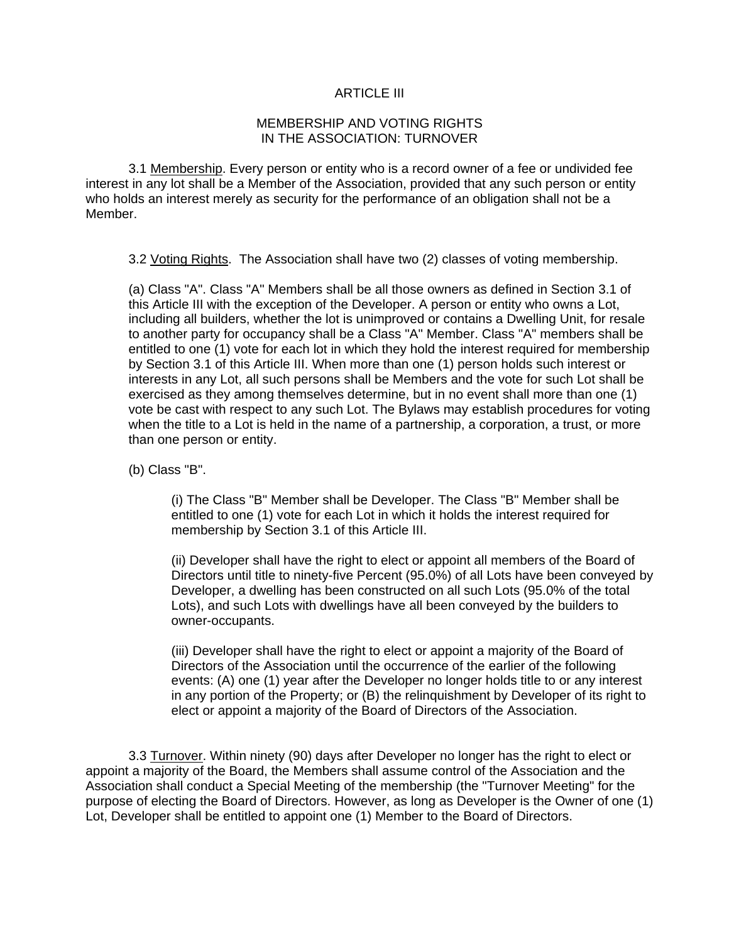## ARTICLE III

### MEMBERSHIP AND VOTING RIGHTS IN THE ASSOCIATION: TURNOVER

3.1 Membership. Every person or entity who is a record owner of a fee or undivided fee interest in any lot shall be a Member of the Association, provided that any such person or entity who holds an interest merely as security for the performance of an obligation shall not be a Member.

3.2 Voting Rights. The Association shall have two (2) classes of voting membership.

(a) Class "A". Class "A" Members shall be all those owners as defined in Section 3.1 of this Article III with the exception of the Developer. A person or entity who owns a Lot, including all builders, whether the lot is unimproved or contains a Dwelling Unit, for resale to another party for occupancy shall be a Class "A" Member. Class "A" members shall be entitled to one (1) vote for each lot in which they hold the interest required for membership by Section 3.1 of this Article III. When more than one (1) person holds such interest or interests in any Lot, all such persons shall be Members and the vote for such Lot shall be exercised as they among themselves determine, but in no event shall more than one (1) vote be cast with respect to any such Lot. The Bylaws may establish procedures for voting when the title to a Lot is held in the name of a partnership, a corporation, a trust, or more than one person or entity.

(b) Class "B".

(i) The Class "B" Member shall be Developer. The Class "B" Member shall be entitled to one (1) vote for each Lot in which it holds the interest required for membership by Section 3.1 of this Article III.

(ii) Developer shall have the right to elect or appoint all members of the Board of Directors until title to ninety-five Percent (95.0%) of all Lots have been conveyed by Developer, a dwelling has been constructed on all such Lots (95.0% of the total Lots), and such Lots with dwellings have all been conveyed by the builders to owner-occupants.

(iii) Developer shall have the right to elect or appoint a majority of the Board of Directors of the Association until the occurrence of the earlier of the following events: (A) one (1) year after the Developer no longer holds title to or any interest in any portion of the Property; or (B) the relinquishment by Developer of its right to elect or appoint a majority of the Board of Directors of the Association.

3.3 Turnover. Within ninety (90) days after Developer no longer has the right to elect or appoint a majority of the Board, the Members shall assume control of the Association and the Association shall conduct a Special Meeting of the membership (the "Turnover Meeting" for the purpose of electing the Board of Directors. However, as long as Developer is the Owner of one (1) Lot, Developer shall be entitled to appoint one (1) Member to the Board of Directors.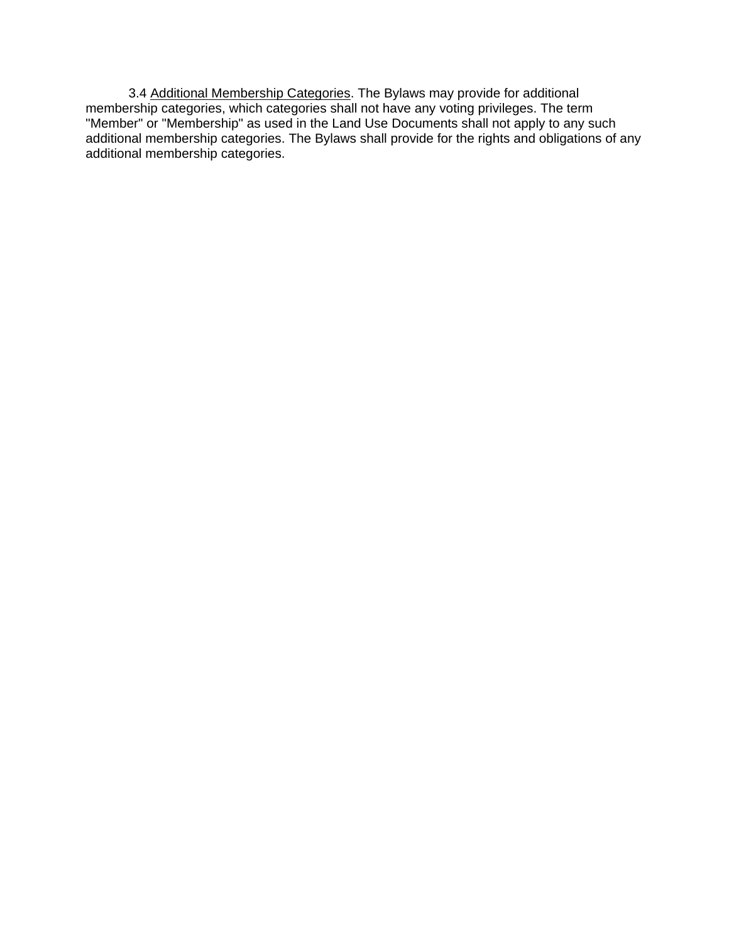3.4 Additional Membership Categories. The Bylaws may provide for additional membership categories, which categories shall not have any voting privileges. The term "Member" or "Membership" as used in the Land Use Documents shall not apply to any such additional membership categories. The Bylaws shall provide for the rights and obligations of any additional membership categories.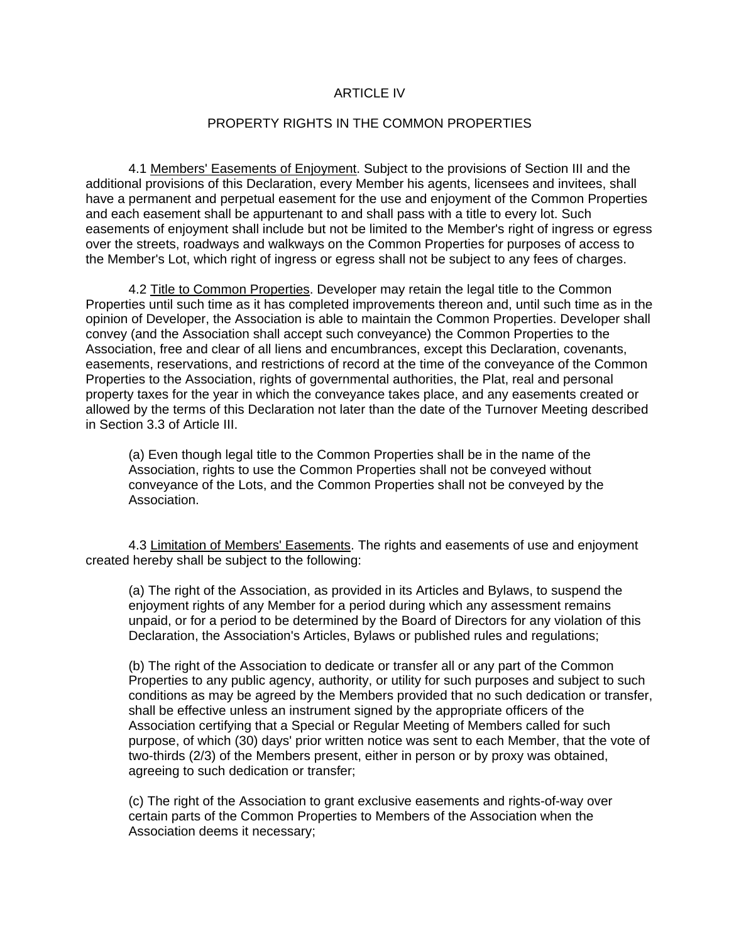#### ARTICLE IV

#### PROPERTY RIGHTS IN THE COMMON PROPERTIES

4.1 Members' Easements of Enjoyment. Subject to the provisions of Section III and the additional provisions of this Declaration, every Member his agents, licensees and invitees, shall have a permanent and perpetual easement for the use and enjoyment of the Common Properties and each easement shall be appurtenant to and shall pass with a title to every lot. Such easements of enjoyment shall include but not be limited to the Member's right of ingress or egress over the streets, roadways and walkways on the Common Properties for purposes of access to the Member's Lot, which right of ingress or egress shall not be subject to any fees of charges.

4.2 Title to Common Properties. Developer may retain the legal title to the Common Properties until such time as it has completed improvements thereon and, until such time as in the opinion of Developer, the Association is able to maintain the Common Properties. Developer shall convey (and the Association shall accept such conveyance) the Common Properties to the Association, free and clear of all liens and encumbrances, except this Declaration, covenants, easements, reservations, and restrictions of record at the time of the conveyance of the Common Properties to the Association, rights of governmental authorities, the Plat, real and personal property taxes for the year in which the conveyance takes place, and any easements created or allowed by the terms of this Declaration not later than the date of the Turnover Meeting described in Section 3.3 of Article III.

(a) Even though legal title to the Common Properties shall be in the name of the Association, rights to use the Common Properties shall not be conveyed without conveyance of the Lots, and the Common Properties shall not be conveyed by the Association.

4.3 Limitation of Members' Easements. The rights and easements of use and enjoyment created hereby shall be subject to the following:

(a) The right of the Association, as provided in its Articles and Bylaws, to suspend the enjoyment rights of any Member for a period during which any assessment remains unpaid, or for a period to be determined by the Board of Directors for any violation of this Declaration, the Association's Articles, Bylaws or published rules and regulations;

(b) The right of the Association to dedicate or transfer all or any part of the Common Properties to any public agency, authority, or utility for such purposes and subject to such conditions as may be agreed by the Members provided that no such dedication or transfer, shall be effective unless an instrument signed by the appropriate officers of the Association certifying that a Special or Regular Meeting of Members called for such purpose, of which (30) days' prior written notice was sent to each Member, that the vote of two-thirds (2/3) of the Members present, either in person or by proxy was obtained, agreeing to such dedication or transfer;

(c) The right of the Association to grant exclusive easements and rights-of-way over certain parts of the Common Properties to Members of the Association when the Association deems it necessary;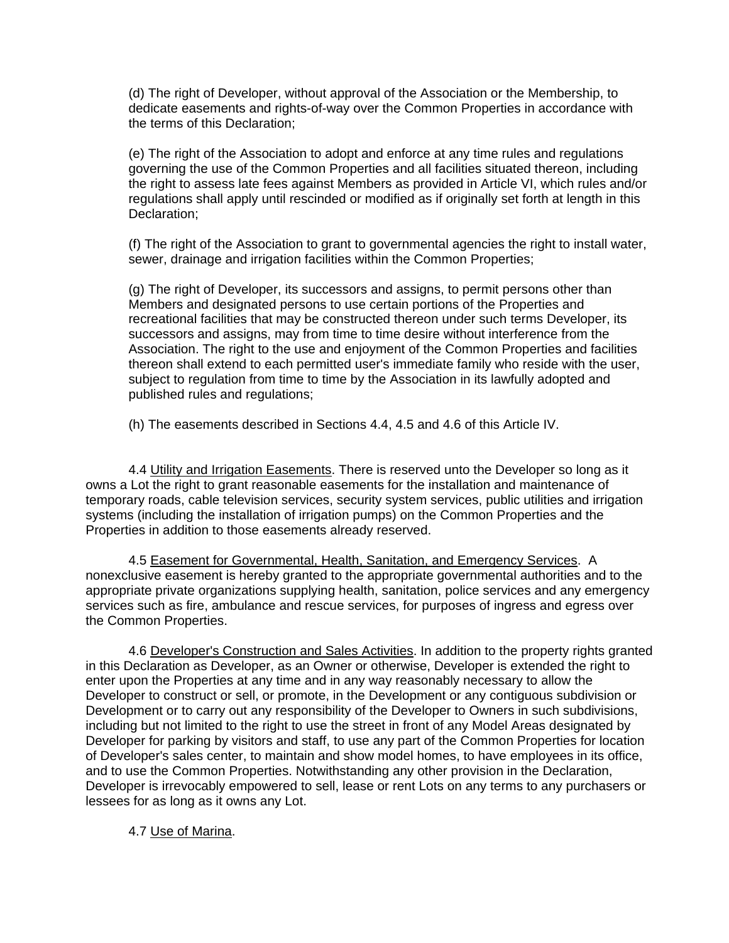(d) The right of Developer, without approval of the Association or the Membership, to dedicate easements and rights-of-way over the Common Properties in accordance with the terms of this Declaration;

(e) The right of the Association to adopt and enforce at any time rules and regulations governing the use of the Common Properties and all facilities situated thereon, including the right to assess late fees against Members as provided in Article VI, which rules and/or regulations shall apply until rescinded or modified as if originally set forth at length in this Declaration;

(f) The right of the Association to grant to governmental agencies the right to install water, sewer, drainage and irrigation facilities within the Common Properties;

(g) The right of Developer, its successors and assigns, to permit persons other than Members and designated persons to use certain portions of the Properties and recreational facilities that may be constructed thereon under such terms Developer, its successors and assigns, may from time to time desire without interference from the Association. The right to the use and enjoyment of the Common Properties and facilities thereon shall extend to each permitted user's immediate family who reside with the user, subject to regulation from time to time by the Association in its lawfully adopted and published rules and regulations;

(h) The easements described in Sections 4.4, 4.5 and 4.6 of this Article IV.

4.4 Utility and Irrigation Easements. There is reserved unto the Developer so long as it owns a Lot the right to grant reasonable easements for the installation and maintenance of temporary roads, cable television services, security system services, public utilities and irrigation systems (including the installation of irrigation pumps) on the Common Properties and the Properties in addition to those easements already reserved.

4.5 Easement for Governmental, Health, Sanitation, and Emergency Services. A nonexclusive easement is hereby granted to the appropriate governmental authorities and to the appropriate private organizations supplying health, sanitation, police services and any emergency services such as fire, ambulance and rescue services, for purposes of ingress and egress over the Common Properties.

4.6 Developer's Construction and Sales Activities. In addition to the property rights granted in this Declaration as Developer, as an Owner or otherwise, Developer is extended the right to enter upon the Properties at any time and in any way reasonably necessary to allow the Developer to construct or sell, or promote, in the Development or any contiguous subdivision or Development or to carry out any responsibility of the Developer to Owners in such subdivisions, including but not limited to the right to use the street in front of any Model Areas designated by Developer for parking by visitors and staff, to use any part of the Common Properties for location of Developer's sales center, to maintain and show model homes, to have employees in its office, and to use the Common Properties. Notwithstanding any other provision in the Declaration, Developer is irrevocably empowered to sell, lease or rent Lots on any terms to any purchasers or lessees for as long as it owns any Lot.

# 4.7 Use of Marina.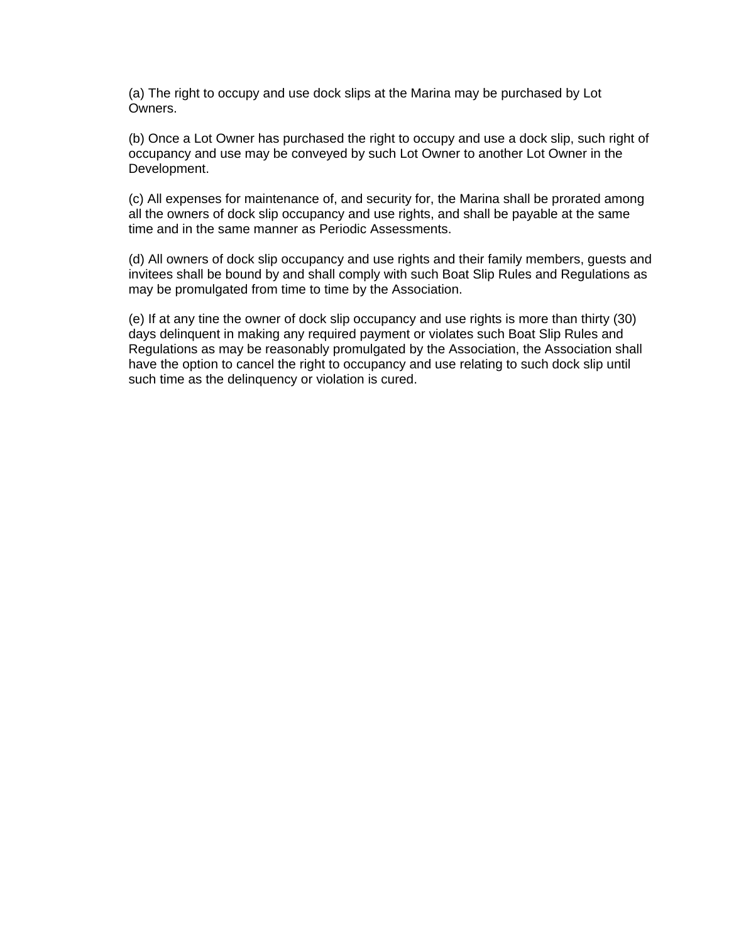(a) The right to occupy and use dock slips at the Marina may be purchased by Lot **Owners** 

(b) Once a Lot Owner has purchased the right to occupy and use a dock slip, such right of occupancy and use may be conveyed by such Lot Owner to another Lot Owner in the Development.

(c) All expenses for maintenance of, and security for, the Marina shall be prorated among all the owners of dock slip occupancy and use rights, and shall be payable at the same time and in the same manner as Periodic Assessments.

(d) All owners of dock slip occupancy and use rights and their family members, guests and invitees shall be bound by and shall comply with such Boat Slip Rules and Regulations as may be promulgated from time to time by the Association.

(e) If at any tine the owner of dock slip occupancy and use rights is more than thirty (30) days delinquent in making any required payment or violates such Boat Slip Rules and Regulations as may be reasonably promulgated by the Association, the Association shall have the option to cancel the right to occupancy and use relating to such dock slip until such time as the delinquency or violation is cured.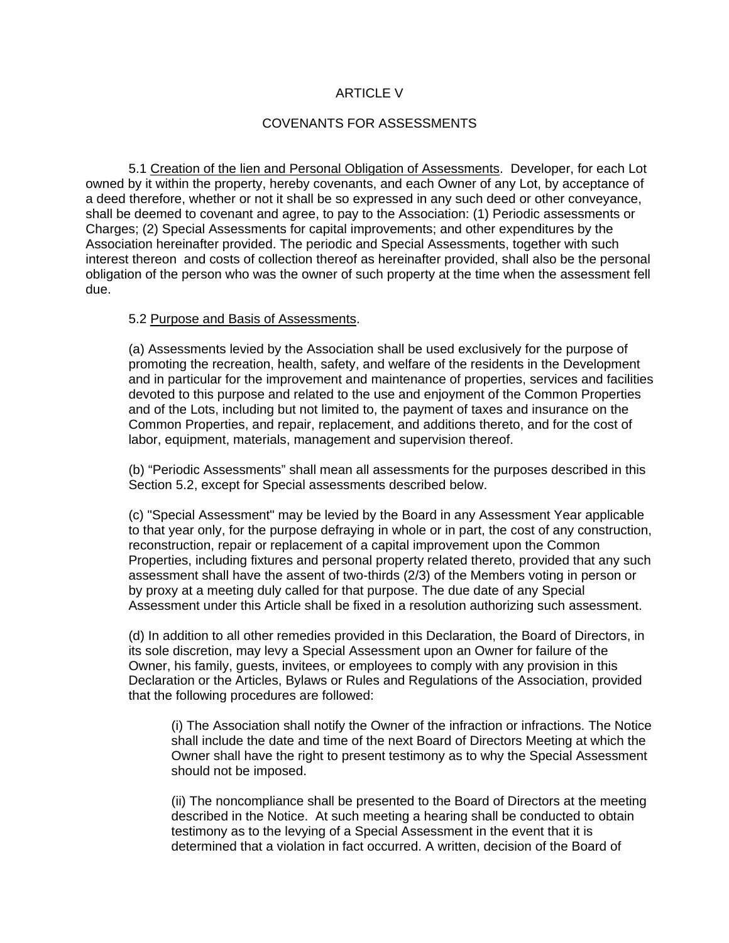### ARTICLE V

# COVENANTS FOR ASSESSMENTS

5.1 Creation of the lien and Personal Obligation of Assessments. Developer, for each Lot owned by it within the property, hereby covenants, and each Owner of any Lot, by acceptance of a deed therefore, whether or not it shall be so expressed in any such deed or other conveyance, shall be deemed to covenant and agree, to pay to the Association: (1) Periodic assessments or Charges; (2) Special Assessments for capital improvements; and other expenditures by the Association hereinafter provided. The periodic and Special Assessments, together with such interest thereon and costs of collection thereof as hereinafter provided, shall also be the personal obligation of the person who was the owner of such property at the time when the assessment fell due.

### 5.2 Purpose and Basis of Assessments.

(a) Assessments levied by the Association shall be used exclusively for the purpose of promoting the recreation, health, safety, and welfare of the residents in the Development and in particular for the improvement and maintenance of properties, services and facilities devoted to this purpose and related to the use and enjoyment of the Common Properties and of the Lots, including but not limited to, the payment of taxes and insurance on the Common Properties, and repair, replacement, and additions thereto, and for the cost of labor, equipment, materials, management and supervision thereof.

(b) "Periodic Assessments" shall mean all assessments for the purposes described in this Section 5.2, except for Special assessments described below.

(c) "Special Assessment" may be levied by the Board in any Assessment Year applicable to that year only, for the purpose defraying in whole or in part, the cost of any construction, reconstruction, repair or replacement of a capital improvement upon the Common Properties, including fixtures and personal property related thereto, provided that any such assessment shall have the assent of two-thirds (2/3) of the Members voting in person or by proxy at a meeting duly called for that purpose. The due date of any Special Assessment under this Article shall be fixed in a resolution authorizing such assessment.

(d) In addition to all other remedies provided in this Declaration, the Board of Directors, in its sole discretion, may levy a Special Assessment upon an Owner for failure of the Owner, his family, guests, invitees, or employees to comply with any provision in this Declaration or the Articles, Bylaws or Rules and Regulations of the Association, provided that the following procedures are followed:

(i) The Association shall notify the Owner of the infraction or infractions. The Notice shall include the date and time of the next Board of Directors Meeting at which the Owner shall have the right to present testimony as to why the Special Assessment should not be imposed.

(ii) The noncompliance shall be presented to the Board of Directors at the meeting described in the Notice. At such meeting a hearing shall be conducted to obtain testimony as to the levying of a Special Assessment in the event that it is determined that a violation in fact occurred. A written, decision of the Board of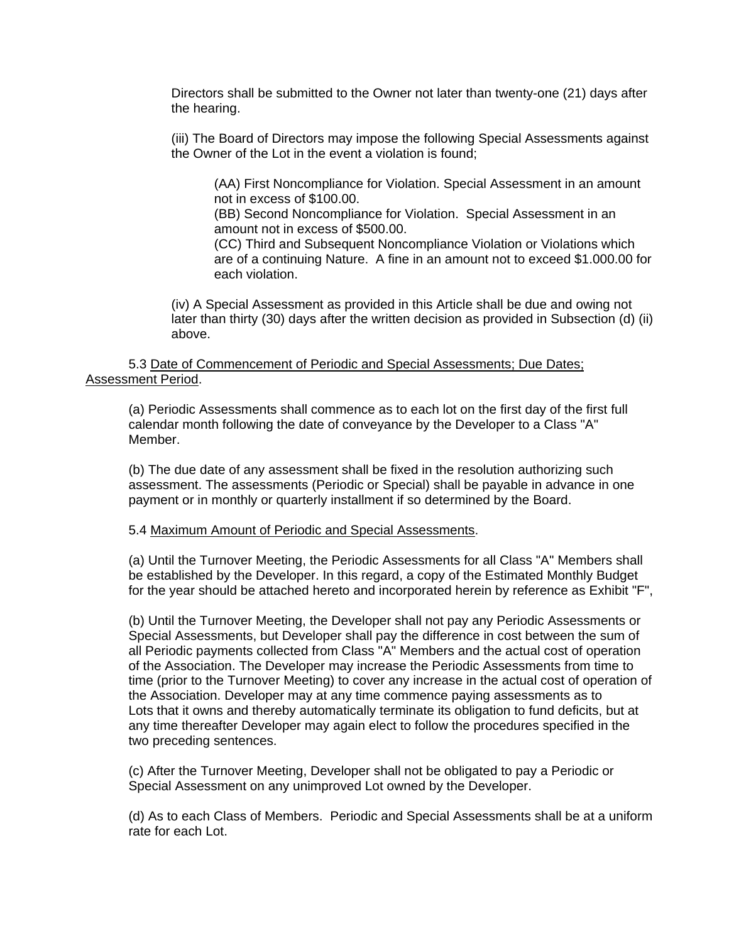Directors shall be submitted to the Owner not later than twenty-one (21) days after the hearing.

(iii) The Board of Directors may impose the following Special Assessments against the Owner of the Lot in the event a violation is found;

(AA) First Noncompliance for Violation. Special Assessment in an amount not in excess of \$100.00.

(BB) Second Noncompliance for Violation. Special Assessment in an amount not in excess of \$500.00.

(CC) Third and Subsequent Noncompliance Violation or Violations which are of a continuing Nature. A fine in an amount not to exceed \$1.000.00 for each violation.

(iv) A Special Assessment as provided in this Article shall be due and owing not later than thirty (30) days after the written decision as provided in Subsection (d) (ii) above.

### 5.3 Date of Commencement of Periodic and Special Assessments; Due Dates; Assessment Period.

(a) Periodic Assessments shall commence as to each lot on the first day of the first full calendar month following the date of conveyance by the Developer to a Class "A" Member.

(b) The due date of any assessment shall be fixed in the resolution authorizing such assessment. The assessments (Periodic or Special) shall be payable in advance in one payment or in monthly or quarterly installment if so determined by the Board.

### 5.4 Maximum Amount of Periodic and Special Assessments.

(a) Until the Turnover Meeting, the Periodic Assessments for all Class "A" Members shall be established by the Developer. In this regard, a copy of the Estimated Monthly Budget for the year should be attached hereto and incorporated herein by reference as Exhibit "F",

(b) Until the Turnover Meeting, the Developer shall not pay any Periodic Assessments or Special Assessments, but Developer shall pay the difference in cost between the sum of all Periodic payments collected from Class "A" Members and the actual cost of operation of the Association. The Developer may increase the Periodic Assessments from time to time (prior to the Turnover Meeting) to cover any increase in the actual cost of operation of the Association. Developer may at any time commence paying assessments as to Lots that it owns and thereby automatically terminate its obligation to fund deficits, but at any time thereafter Developer may again elect to follow the procedures specified in the two preceding sentences.

(c) After the Turnover Meeting, Developer shall not be obligated to pay a Periodic or Special Assessment on any unimproved Lot owned by the Developer.

(d) As to each Class of Members. Periodic and Special Assessments shall be at a uniform rate for each Lot.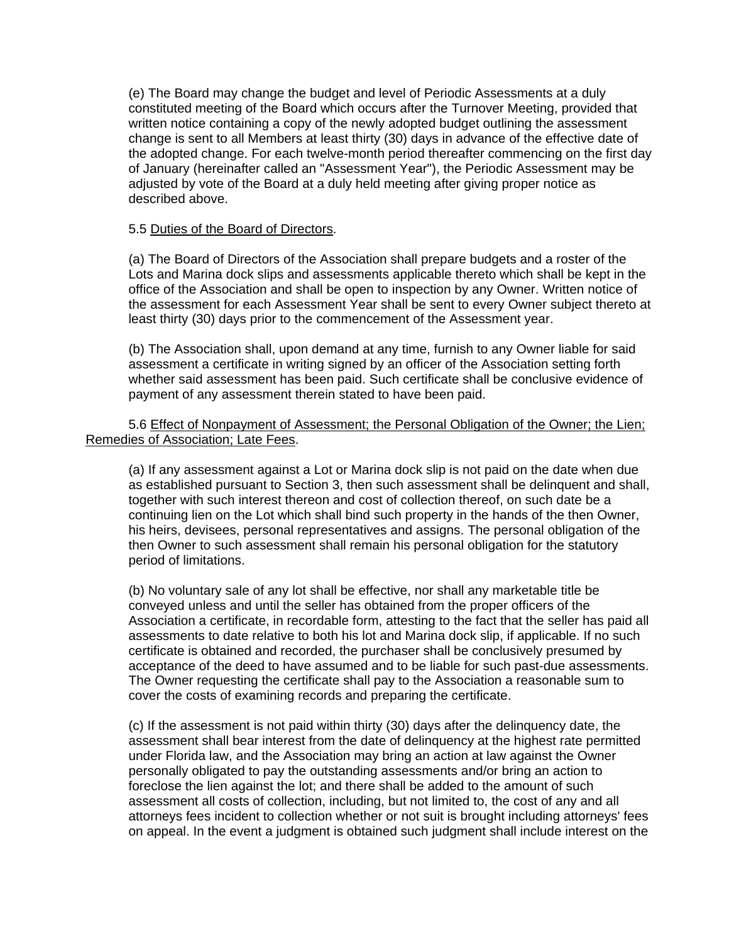(e) The Board may change the budget and level of Periodic Assessments at a duly constituted meeting of the Board which occurs after the Turnover Meeting, provided that written notice containing a copy of the newly adopted budget outlining the assessment change is sent to all Members at least thirty (30) days in advance of the effective date of the adopted change. For each twelve-month period thereafter commencing on the first day of January (hereinafter called an "Assessment Year"), the Periodic Assessment may be adjusted by vote of the Board at a duly held meeting after giving proper notice as described above.

# 5.5 Duties of the Board of Directors.

(a) The Board of Directors of the Association shall prepare budgets and a roster of the Lots and Marina dock slips and assessments applicable thereto which shall be kept in the office of the Association and shall be open to inspection by any Owner. Written notice of the assessment for each Assessment Year shall be sent to every Owner subject thereto at least thirty (30) days prior to the commencement of the Assessment year.

(b) The Association shall, upon demand at any time, furnish to any Owner liable for said assessment a certificate in writing signed by an officer of the Association setting forth whether said assessment has been paid. Such certificate shall be conclusive evidence of payment of any assessment therein stated to have been paid.

# 5.6 Effect of Nonpayment of Assessment; the Personal Obligation of the Owner; the Lien; Remedies of Association; Late Fees.

(a) If any assessment against a Lot or Marina dock slip is not paid on the date when due as established pursuant to Section 3, then such assessment shall be delinquent and shall, together with such interest thereon and cost of collection thereof, on such date be a continuing lien on the Lot which shall bind such property in the hands of the then Owner, his heirs, devisees, personal representatives and assigns. The personal obligation of the then Owner to such assessment shall remain his personal obligation for the statutory period of limitations.

(b) No voluntary sale of any lot shall be effective, nor shall any marketable title be conveyed unless and until the seller has obtained from the proper officers of the Association a certificate, in recordable form, attesting to the fact that the seller has paid all assessments to date relative to both his lot and Marina dock slip, if applicable. If no such certificate is obtained and recorded, the purchaser shall be conclusively presumed by acceptance of the deed to have assumed and to be liable for such past-due assessments. The Owner requesting the certificate shall pay to the Association a reasonable sum to cover the costs of examining records and preparing the certificate.

(c) If the assessment is not paid within thirty (30) days after the delinquency date, the assessment shall bear interest from the date of delinquency at the highest rate permitted under Florida law, and the Association may bring an action at law against the Owner personally obligated to pay the outstanding assessments and/or bring an action to foreclose the lien against the lot; and there shall be added to the amount of such assessment all costs of collection, including, but not limited to, the cost of any and all attorneys fees incident to collection whether or not suit is brought including attorneys' fees on appeal. In the event a judgment is obtained such judgment shall include interest on the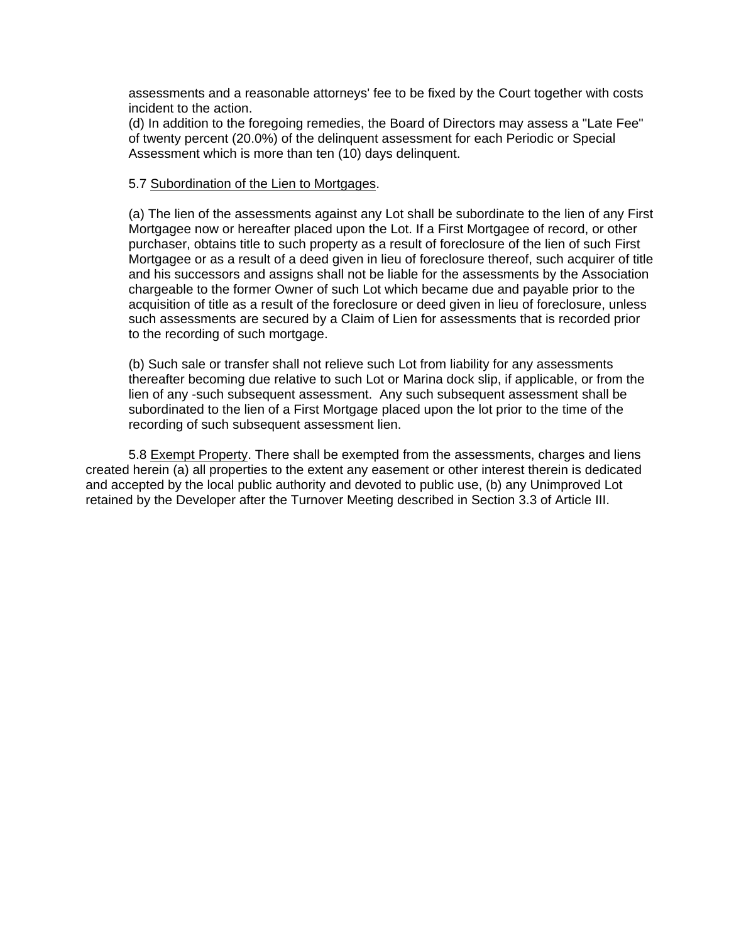assessments and a reasonable attorneys' fee to be fixed by the Court together with costs incident to the action.

(d) In addition to the foregoing remedies, the Board of Directors may assess a "Late Fee" of twenty percent (20.0%) of the delinquent assessment for each Periodic or Special Assessment which is more than ten (10) days delinquent.

### 5.7 Subordination of the Lien to Mortgages.

(a) The lien of the assessments against any Lot shall be subordinate to the lien of any First Mortgagee now or hereafter placed upon the Lot. If a First Mortgagee of record, or other purchaser, obtains title to such property as a result of foreclosure of the lien of such First Mortgagee or as a result of a deed given in lieu of foreclosure thereof, such acquirer of title and his successors and assigns shall not be liable for the assessments by the Association chargeable to the former Owner of such Lot which became due and payable prior to the acquisition of title as a result of the foreclosure or deed given in lieu of foreclosure, unless such assessments are secured by a Claim of Lien for assessments that is recorded prior to the recording of such mortgage.

(b) Such sale or transfer shall not relieve such Lot from liability for any assessments thereafter becoming due relative to such Lot or Marina dock slip, if applicable, or from the lien of any -such subsequent assessment. Any such subsequent assessment shall be subordinated to the lien of a First Mortgage placed upon the lot prior to the time of the recording of such subsequent assessment lien.

5.8 Exempt Property. There shall be exempted from the assessments, charges and liens created herein (a) all properties to the extent any easement or other interest therein is dedicated and accepted by the local public authority and devoted to public use, (b) any Unimproved Lot retained by the Developer after the Turnover Meeting described in Section 3.3 of Article III.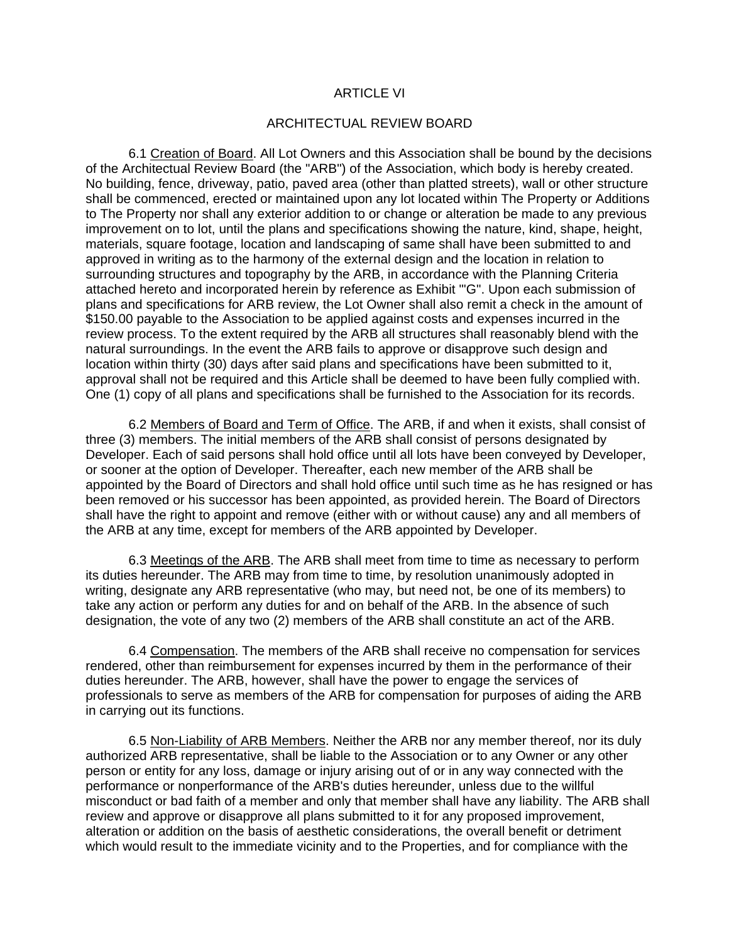#### ARTICLE VI

#### ARCHITECTUAL REVIEW BOARD

6.1 Creation of Board. All Lot Owners and this Association shall be bound by the decisions of the Architectual Review Board (the "ARB") of the Association, which body is hereby created. No building, fence, driveway, patio, paved area (other than platted streets), wall or other structure shall be commenced, erected or maintained upon any lot located within The Property or Additions to The Property nor shall any exterior addition to or change or alteration be made to any previous improvement on to lot, until the plans and specifications showing the nature, kind, shape, height, materials, square footage, location and landscaping of same shall have been submitted to and approved in writing as to the harmony of the external design and the location in relation to surrounding structures and topography by the ARB, in accordance with the Planning Criteria attached hereto and incorporated herein by reference as Exhibit "'G". Upon each submission of plans and specifications for ARB review, the Lot Owner shall also remit a check in the amount of \$150.00 payable to the Association to be applied against costs and expenses incurred in the review process. To the extent required by the ARB all structures shall reasonably blend with the natural surroundings. In the event the ARB fails to approve or disapprove such design and location within thirty (30) days after said plans and specifications have been submitted to it, approval shall not be required and this Article shall be deemed to have been fully complied with. One (1) copy of all plans and specifications shall be furnished to the Association for its records.

6.2 Members of Board and Term of Office. The ARB, if and when it exists, shall consist of three (3) members. The initial members of the ARB shall consist of persons designated by Developer. Each of said persons shall hold office until all lots have been conveyed by Developer, or sooner at the option of Developer. Thereafter, each new member of the ARB shall be appointed by the Board of Directors and shall hold office until such time as he has resigned or has been removed or his successor has been appointed, as provided herein. The Board of Directors shall have the right to appoint and remove (either with or without cause) any and all members of the ARB at any time, except for members of the ARB appointed by Developer.

6.3 Meetings of the ARB. The ARB shall meet from time to time as necessary to perform its duties hereunder. The ARB may from time to time, by resolution unanimously adopted in writing, designate any ARB representative (who may, but need not, be one of its members) to take any action or perform any duties for and on behalf of the ARB. In the absence of such designation, the vote of any two (2) members of the ARB shall constitute an act of the ARB.

6.4 Compensation. The members of the ARB shall receive no compensation for services rendered, other than reimbursement for expenses incurred by them in the performance of their duties hereunder. The ARB, however, shall have the power to engage the services of professionals to serve as members of the ARB for compensation for purposes of aiding the ARB in carrying out its functions.

6.5 Non-Liability of ARB Members. Neither the ARB nor any member thereof, nor its duly authorized ARB representative, shall be liable to the Association or to any Owner or any other person or entity for any loss, damage or injury arising out of or in any way connected with the performance or nonperformance of the ARB's duties hereunder, unless due to the willful misconduct or bad faith of a member and only that member shall have any liability. The ARB shall review and approve or disapprove all plans submitted to it for any proposed improvement, alteration or addition on the basis of aesthetic considerations, the overall benefit or detriment which would result to the immediate vicinity and to the Properties, and for compliance with the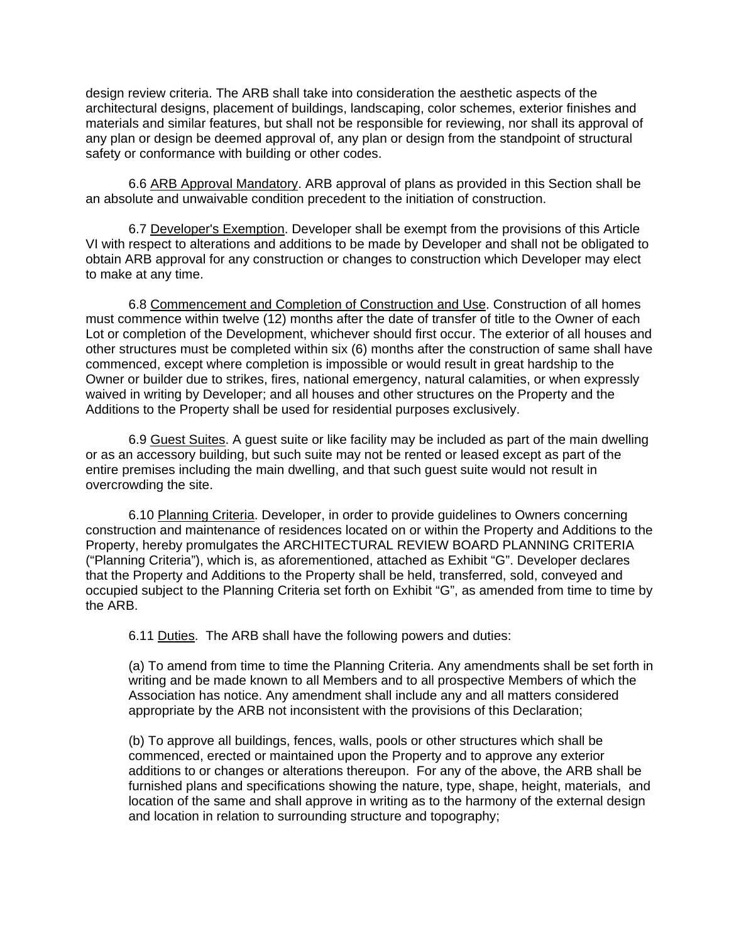design review criteria. The ARB shall take into consideration the aesthetic aspects of the architectural designs, placement of buildings, landscaping, color schemes, exterior finishes and materials and similar features, but shall not be responsible for reviewing, nor shall its approval of any plan or design be deemed approval of, any plan or design from the standpoint of structural safety or conformance with building or other codes.

6.6 ARB Approval Mandatory. ARB approval of plans as provided in this Section shall be an absolute and unwaivable condition precedent to the initiation of construction.

6.7 Developer's Exemption. Developer shall be exempt from the provisions of this Article VI with respect to alterations and additions to be made by Developer and shall not be obligated to obtain ARB approval for any construction or changes to construction which Developer may elect to make at any time.

6.8 Commencement and Completion of Construction and Use. Construction of all homes must commence within twelve (12) months after the date of transfer of title to the Owner of each Lot or completion of the Development, whichever should first occur. The exterior of all houses and other structures must be completed within six (6) months after the construction of same shall have commenced, except where completion is impossible or would result in great hardship to the Owner or builder due to strikes, fires, national emergency, natural calamities, or when expressly waived in writing by Developer; and all houses and other structures on the Property and the Additions to the Property shall be used for residential purposes exclusively.

6.9 Guest Suites. A guest suite or like facility may be included as part of the main dwelling or as an accessory building, but such suite may not be rented or leased except as part of the entire premises including the main dwelling, and that such guest suite would not result in overcrowding the site.

6.10 Planning Criteria. Developer, in order to provide guidelines to Owners concerning construction and maintenance of residences located on or within the Property and Additions to the Property, hereby promulgates the ARCHITECTURAL REVIEW BOARD PLANNING CRITERIA ("Planning Criteria"), which is, as aforementioned, attached as Exhibit "G". Developer declares that the Property and Additions to the Property shall be held, transferred, sold, conveyed and occupied subject to the Planning Criteria set forth on Exhibit "G", as amended from time to time by the ARB.

6.11 Duties. The ARB shall have the following powers and duties:

(a) To amend from time to time the Planning Criteria. Any amendments shall be set forth in writing and be made known to all Members and to all prospective Members of which the Association has notice. Any amendment shall include any and all matters considered appropriate by the ARB not inconsistent with the provisions of this Declaration;

(b) To approve all buildings, fences, walls, pools or other structures which shall be commenced, erected or maintained upon the Property and to approve any exterior additions to or changes or alterations thereupon. For any of the above, the ARB shall be furnished plans and specifications showing the nature, type, shape, height, materials, and location of the same and shall approve in writing as to the harmony of the external design and location in relation to surrounding structure and topography;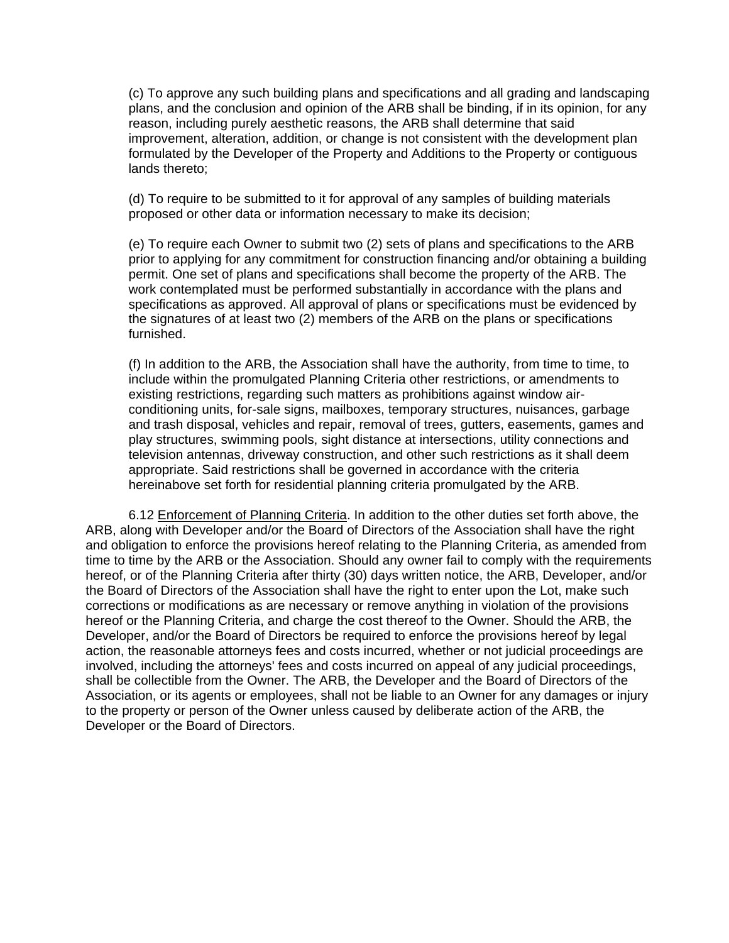(c) To approve any such building plans and specifications and all grading and landscaping plans, and the conclusion and opinion of the ARB shall be binding, if in its opinion, for any reason, including purely aesthetic reasons, the ARB shall determine that said improvement, alteration, addition, or change is not consistent with the development plan formulated by the Developer of the Property and Additions to the Property or contiguous lands thereto;

(d) To require to be submitted to it for approval of any samples of building materials proposed or other data or information necessary to make its decision;

(e) To require each Owner to submit two (2) sets of plans and specifications to the ARB prior to applying for any commitment for construction financing and/or obtaining a building permit. One set of plans and specifications shall become the property of the ARB. The work contemplated must be performed substantially in accordance with the plans and specifications as approved. All approval of plans or specifications must be evidenced by the signatures of at least two (2) members of the ARB on the plans or specifications furnished.

(f) In addition to the ARB, the Association shall have the authority, from time to time, to include within the promulgated Planning Criteria other restrictions, or amendments to existing restrictions, regarding such matters as prohibitions against window airconditioning units, for-sale signs, mailboxes, temporary structures, nuisances, garbage and trash disposal, vehicles and repair, removal of trees, gutters, easements, games and play structures, swimming pools, sight distance at intersections, utility connections and television antennas, driveway construction, and other such restrictions as it shall deem appropriate. Said restrictions shall be governed in accordance with the criteria hereinabove set forth for residential planning criteria promulgated by the ARB.

6.12 Enforcement of Planning Criteria. In addition to the other duties set forth above, the ARB, along with Developer and/or the Board of Directors of the Association shall have the right and obligation to enforce the provisions hereof relating to the Planning Criteria, as amended from time to time by the ARB or the Association. Should any owner fail to comply with the requirements hereof, or of the Planning Criteria after thirty (30) days written notice, the ARB, Developer, and/or the Board of Directors of the Association shall have the right to enter upon the Lot, make such corrections or modifications as are necessary or remove anything in violation of the provisions hereof or the Planning Criteria, and charge the cost thereof to the Owner. Should the ARB, the Developer, and/or the Board of Directors be required to enforce the provisions hereof by legal action, the reasonable attorneys fees and costs incurred, whether or not judicial proceedings are involved, including the attorneys' fees and costs incurred on appeal of any judicial proceedings, shall be collectible from the Owner. The ARB, the Developer and the Board of Directors of the Association, or its agents or employees, shall not be liable to an Owner for any damages or injury to the property or person of the Owner unless caused by deliberate action of the ARB, the Developer or the Board of Directors.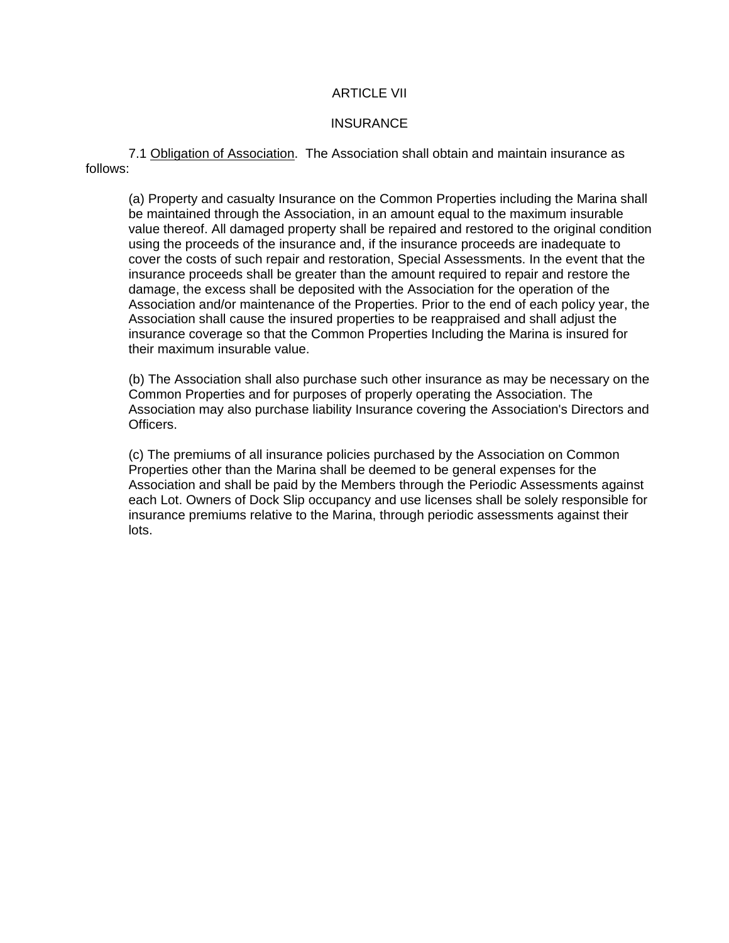# ARTICLE VII

## **INSURANCE**

7.1 Obligation of Association. The Association shall obtain and maintain insurance as follows:

(a) Property and casualty Insurance on the Common Properties including the Marina shall be maintained through the Association, in an amount equal to the maximum insurable value thereof. All damaged property shall be repaired and restored to the original condition using the proceeds of the insurance and, if the insurance proceeds are inadequate to cover the costs of such repair and restoration, Special Assessments. In the event that the insurance proceeds shall be greater than the amount required to repair and restore the damage, the excess shall be deposited with the Association for the operation of the Association and/or maintenance of the Properties. Prior to the end of each policy year, the Association shall cause the insured properties to be reappraised and shall adjust the insurance coverage so that the Common Properties Including the Marina is insured for their maximum insurable value.

(b) The Association shall also purchase such other insurance as may be necessary on the Common Properties and for purposes of properly operating the Association. The Association may also purchase liability Insurance covering the Association's Directors and Officers.

(c) The premiums of all insurance policies purchased by the Association on Common Properties other than the Marina shall be deemed to be general expenses for the Association and shall be paid by the Members through the Periodic Assessments against each Lot. Owners of Dock Slip occupancy and use licenses shall be solely responsible for insurance premiums relative to the Marina, through periodic assessments against their lots.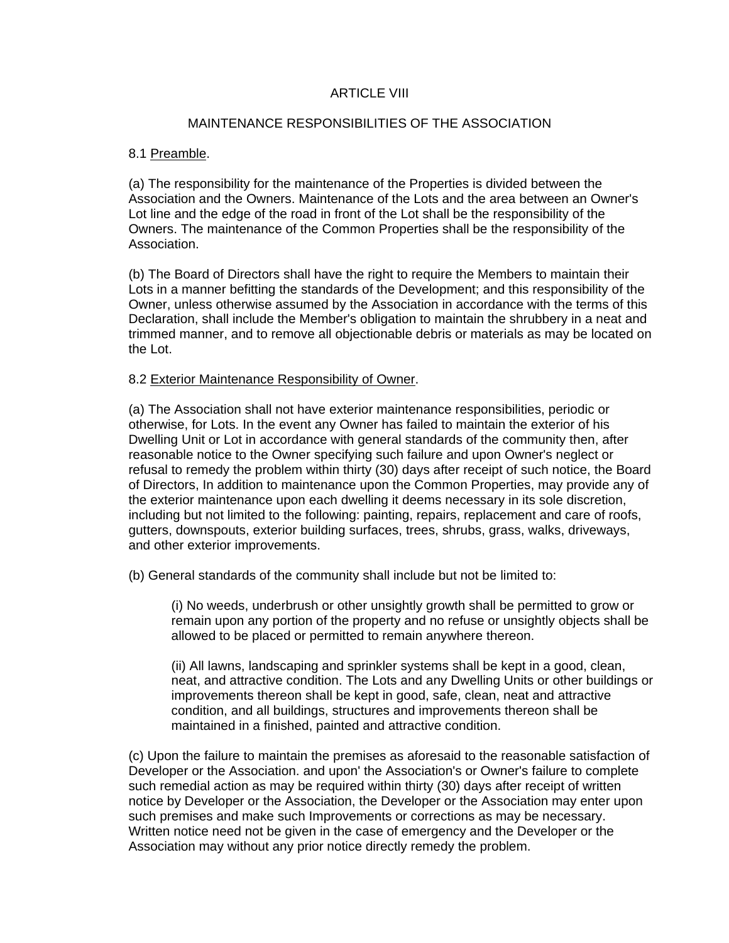# ARTICLE VIII

## MAINTENANCE RESPONSIBILITIES OF THE ASSOCIATION

# 8.1 Preamble.

(a) The responsibility for the maintenance of the Properties is divided between the Association and the Owners. Maintenance of the Lots and the area between an Owner's Lot line and the edge of the road in front of the Lot shall be the responsibility of the Owners. The maintenance of the Common Properties shall be the responsibility of the Association.

(b) The Board of Directors shall have the right to require the Members to maintain their Lots in a manner befitting the standards of the Development; and this responsibility of the Owner, unless otherwise assumed by the Association in accordance with the terms of this Declaration, shall include the Member's obligation to maintain the shrubbery in a neat and trimmed manner, and to remove all objectionable debris or materials as may be located on the Lot.

### 8.2 Exterior Maintenance Responsibility of Owner.

(a) The Association shall not have exterior maintenance responsibilities, periodic or otherwise, for Lots. In the event any Owner has failed to maintain the exterior of his Dwelling Unit or Lot in accordance with general standards of the community then, after reasonable notice to the Owner specifying such failure and upon Owner's neglect or refusal to remedy the problem within thirty (30) days after receipt of such notice, the Board of Directors, In addition to maintenance upon the Common Properties, may provide any of the exterior maintenance upon each dwelling it deems necessary in its sole discretion, including but not limited to the following: painting, repairs, replacement and care of roofs, gutters, downspouts, exterior building surfaces, trees, shrubs, grass, walks, driveways, and other exterior improvements.

(b) General standards of the community shall include but not be limited to:

(i) No weeds, underbrush or other unsightly growth shall be permitted to grow or remain upon any portion of the property and no refuse or unsightly objects shall be allowed to be placed or permitted to remain anywhere thereon.

(ii) All lawns, landscaping and sprinkler systems shall be kept in a good, clean, neat, and attractive condition. The Lots and any Dwelling Units or other buildings or improvements thereon shall be kept in good, safe, clean, neat and attractive condition, and all buildings, structures and improvements thereon shall be maintained in a finished, painted and attractive condition.

(c) Upon the failure to maintain the premises as aforesaid to the reasonable satisfaction of Developer or the Association. and upon' the Association's or Owner's failure to complete such remedial action as may be required within thirty (30) days after receipt of written notice by Developer or the Association, the Developer or the Association may enter upon such premises and make such Improvements or corrections as may be necessary. Written notice need not be given in the case of emergency and the Developer or the Association may without any prior notice directly remedy the problem.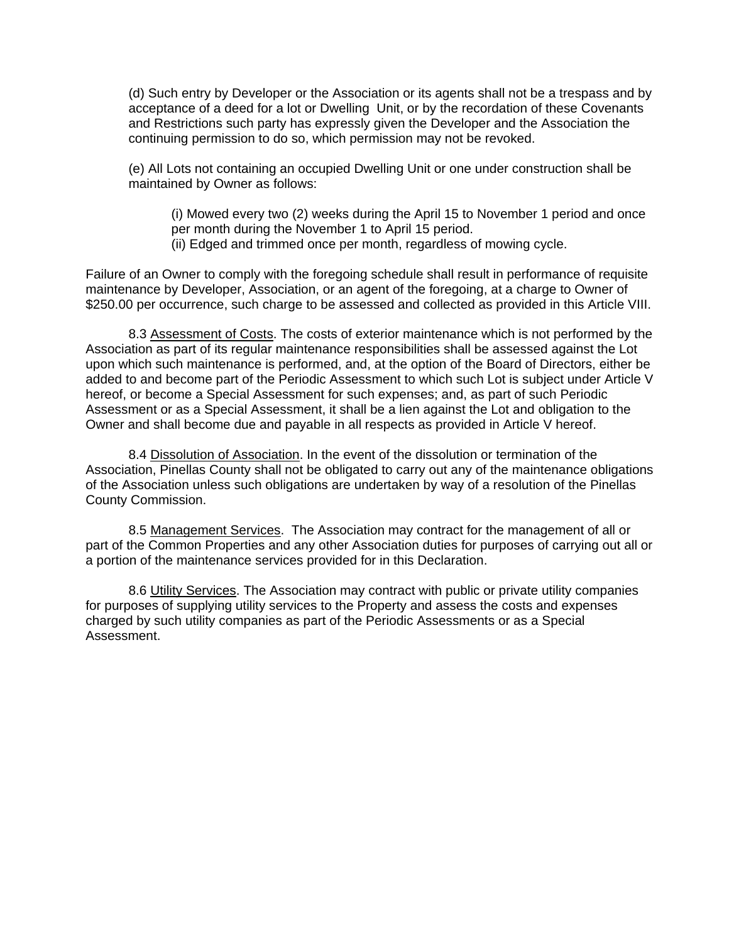(d) Such entry by Developer or the Association or its agents shall not be a trespass and by acceptance of a deed for a lot or Dwelling Unit, or by the recordation of these Covenants and Restrictions such party has expressly given the Developer and the Association the continuing permission to do so, which permission may not be revoked.

(e) All Lots not containing an occupied Dwelling Unit or one under construction shall be maintained by Owner as follows:

(i) Mowed every two (2) weeks during the April 15 to November 1 period and once per month during the November 1 to April 15 period.

(ii) Edged and trimmed once per month, regardless of mowing cycle.

Failure of an Owner to comply with the foregoing schedule shall result in performance of requisite maintenance by Developer, Association, or an agent of the foregoing, at a charge to Owner of \$250.00 per occurrence, such charge to be assessed and collected as provided in this Article VIII.

8.3 Assessment of Costs. The costs of exterior maintenance which is not performed by the Association as part of its regular maintenance responsibilities shall be assessed against the Lot upon which such maintenance is performed, and, at the option of the Board of Directors, either be added to and become part of the Periodic Assessment to which such Lot is subject under Article V hereof, or become a Special Assessment for such expenses; and, as part of such Periodic Assessment or as a Special Assessment, it shall be a lien against the Lot and obligation to the Owner and shall become due and payable in all respects as provided in Article V hereof.

8.4 Dissolution of Association. In the event of the dissolution or termination of the Association, Pinellas County shall not be obligated to carry out any of the maintenance obligations of the Association unless such obligations are undertaken by way of a resolution of the Pinellas County Commission.

8.5 Management Services. The Association may contract for the management of all or part of the Common Properties and any other Association duties for purposes of carrying out all or a portion of the maintenance services provided for in this Declaration.

8.6 Utility Services. The Association may contract with public or private utility companies for purposes of supplying utility services to the Property and assess the costs and expenses charged by such utility companies as part of the Periodic Assessments or as a Special Assessment.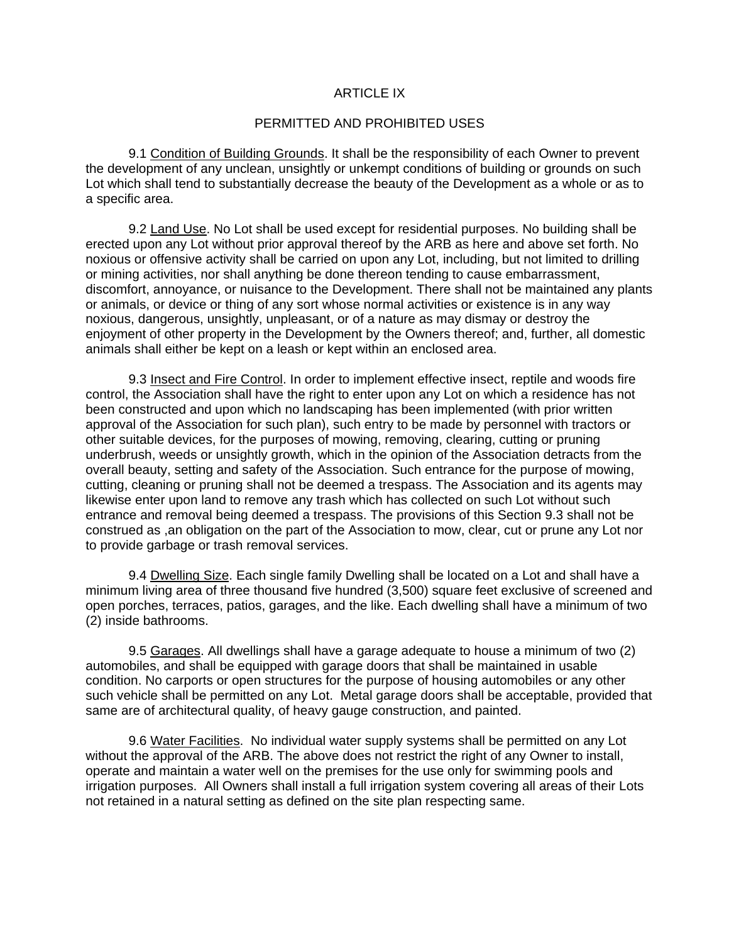### ARTICLE IX

#### PERMITTED AND PROHIBITED USES

9.1 Condition of Building Grounds. It shall be the responsibility of each Owner to prevent the development of any unclean, unsightly or unkempt conditions of building or grounds on such Lot which shall tend to substantially decrease the beauty of the Development as a whole or as to a specific area.

9.2 Land Use. No Lot shall be used except for residential purposes. No building shall be erected upon any Lot without prior approval thereof by the ARB as here and above set forth. No noxious or offensive activity shall be carried on upon any Lot, including, but not limited to drilling or mining activities, nor shall anything be done thereon tending to cause embarrassment, discomfort, annoyance, or nuisance to the Development. There shall not be maintained any plants or animals, or device or thing of any sort whose normal activities or existence is in any way noxious, dangerous, unsightly, unpleasant, or of a nature as may dismay or destroy the enjoyment of other property in the Development by the Owners thereof; and, further, all domestic animals shall either be kept on a leash or kept within an enclosed area.

9.3 Insect and Fire Control. In order to implement effective insect, reptile and woods fire control, the Association shall have the right to enter upon any Lot on which a residence has not been constructed and upon which no landscaping has been implemented (with prior written approval of the Association for such plan), such entry to be made by personnel with tractors or other suitable devices, for the purposes of mowing, removing, clearing, cutting or pruning underbrush, weeds or unsightly growth, which in the opinion of the Association detracts from the overall beauty, setting and safety of the Association. Such entrance for the purpose of mowing, cutting, cleaning or pruning shall not be deemed a trespass. The Association and its agents may likewise enter upon land to remove any trash which has collected on such Lot without such entrance and removal being deemed a trespass. The provisions of this Section 9.3 shall not be construed as ,an obligation on the part of the Association to mow, clear, cut or prune any Lot nor to provide garbage or trash removal services.

9.4 Dwelling Size. Each single family Dwelling shall be located on a Lot and shall have a minimum living area of three thousand five hundred (3,500) square feet exclusive of screened and open porches, terraces, patios, garages, and the like. Each dwelling shall have a minimum of two (2) inside bathrooms.

9.5 Garages. All dwellings shall have a garage adequate to house a minimum of two (2) automobiles, and shall be equipped with garage doors that shall be maintained in usable condition. No carports or open structures for the purpose of housing automobiles or any other such vehicle shall be permitted on any Lot. Metal garage doors shall be acceptable, provided that same are of architectural quality, of heavy gauge construction, and painted.

9.6 Water Facilities. No individual water supply systems shall be permitted on any Lot without the approval of the ARB. The above does not restrict the right of any Owner to install, operate and maintain a water well on the premises for the use only for swimming pools and irrigation purposes. All Owners shall install a full irrigation system covering all areas of their Lots not retained in a natural setting as defined on the site plan respecting same.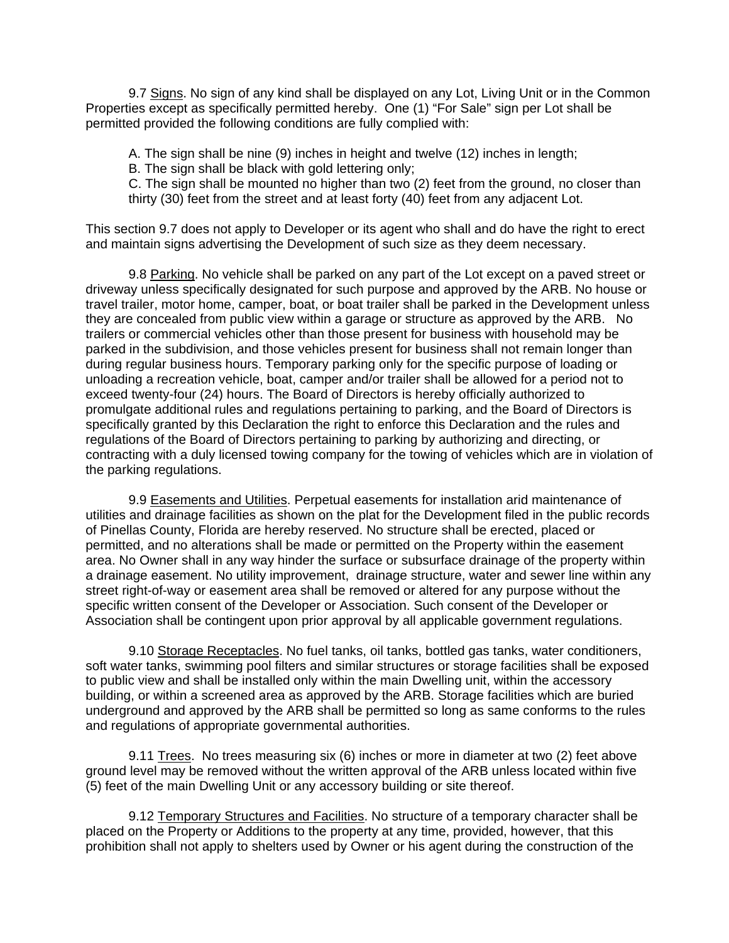9.7 Signs. No sign of any kind shall be displayed on any Lot, Living Unit or in the Common Properties except as specifically permitted hereby. One (1) "For Sale" sign per Lot shall be permitted provided the following conditions are fully complied with:

A. The sign shall be nine (9) inches in height and twelve (12) inches in length;

B. The sign shall be black with gold lettering only;

C. The sign shall be mounted no higher than two (2) feet from the ground, no closer than thirty (30) feet from the street and at least forty (40) feet from any adjacent Lot.

This section 9.7 does not apply to Developer or its agent who shall and do have the right to erect and maintain signs advertising the Development of such size as they deem necessary.

9.8 Parking. No vehicle shall be parked on any part of the Lot except on a paved street or driveway unless specifically designated for such purpose and approved by the ARB. No house or travel trailer, motor home, camper, boat, or boat trailer shall be parked in the Development unless they are concealed from public view within a garage or structure as approved by the ARB. No trailers or commercial vehicles other than those present for business with household may be parked in the subdivision, and those vehicles present for business shall not remain longer than during regular business hours. Temporary parking only for the specific purpose of loading or unloading a recreation vehicle, boat, camper and/or trailer shall be allowed for a period not to exceed twenty-four (24) hours. The Board of Directors is hereby officially authorized to promulgate additional rules and regulations pertaining to parking, and the Board of Directors is specifically granted by this Declaration the right to enforce this Declaration and the rules and regulations of the Board of Directors pertaining to parking by authorizing and directing, or contracting with a duly licensed towing company for the towing of vehicles which are in violation of the parking regulations.

9.9 Easements and Utilities. Perpetual easements for installation arid maintenance of utilities and drainage facilities as shown on the plat for the Development filed in the public records of Pinellas County, Florida are hereby reserved. No structure shall be erected, placed or permitted, and no alterations shall be made or permitted on the Property within the easement area. No Owner shall in any way hinder the surface or subsurface drainage of the property within a drainage easement. No utility improvement, drainage structure, water and sewer line within any street right-of-way or easement area shall be removed or altered for any purpose without the specific written consent of the Developer or Association. Such consent of the Developer or Association shall be contingent upon prior approval by all applicable government regulations.

9.10 Storage Receptacles. No fuel tanks, oil tanks, bottled gas tanks, water conditioners, soft water tanks, swimming pool filters and similar structures or storage facilities shall be exposed to public view and shall be installed only within the main Dwelling unit, within the accessory building, or within a screened area as approved by the ARB. Storage facilities which are buried underground and approved by the ARB shall be permitted so long as same conforms to the rules and regulations of appropriate governmental authorities.

9.11 Trees. No trees measuring six (6) inches or more in diameter at two (2) feet above ground level may be removed without the written approval of the ARB unless located within five (5) feet of the main Dwelling Unit or any accessory building or site thereof.

9.12 Temporary Structures and Facilities. No structure of a temporary character shall be placed on the Property or Additions to the property at any time, provided, however, that this prohibition shall not apply to shelters used by Owner or his agent during the construction of the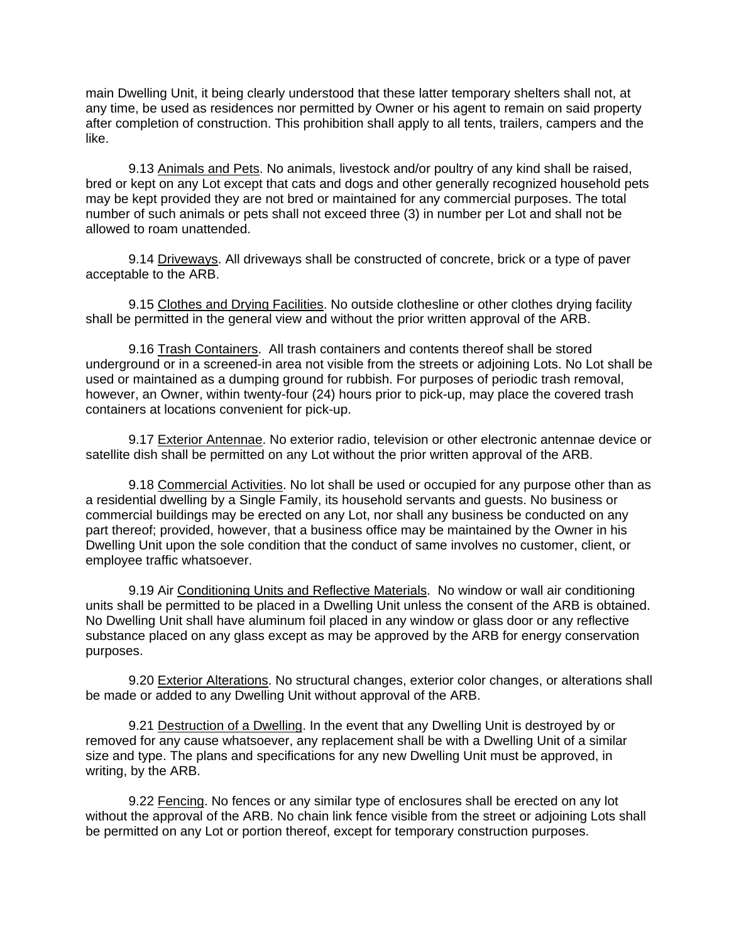main Dwelling Unit, it being clearly understood that these latter temporary shelters shall not, at any time, be used as residences nor permitted by Owner or his agent to remain on said property after completion of construction. This prohibition shall apply to all tents, trailers, campers and the like.

9.13 Animals and Pets. No animals, livestock and/or poultry of any kind shall be raised, bred or kept on any Lot except that cats and dogs and other generally recognized household pets may be kept provided they are not bred or maintained for any commercial purposes. The total number of such animals or pets shall not exceed three (3) in number per Lot and shall not be allowed to roam unattended.

9.14 Driveways. All driveways shall be constructed of concrete, brick or a type of paver acceptable to the ARB.

9.15 Clothes and Drying Facilities. No outside clothesline or other clothes drying facility shall be permitted in the general view and without the prior written approval of the ARB.

9.16 Trash Containers. All trash containers and contents thereof shall be stored underground or in a screened-in area not visible from the streets or adjoining Lots. No Lot shall be used or maintained as a dumping ground for rubbish. For purposes of periodic trash removal, however, an Owner, within twenty-four (24) hours prior to pick-up, may place the covered trash containers at locations convenient for pick-up.

9.17 Exterior Antennae. No exterior radio, television or other electronic antennae device or satellite dish shall be permitted on any Lot without the prior written approval of the ARB.

9.18 Commercial Activities. No lot shall be used or occupied for any purpose other than as a residential dwelling by a Single Family, its household servants and guests. No business or commercial buildings may be erected on any Lot, nor shall any business be conducted on any part thereof; provided, however, that a business office may be maintained by the Owner in his Dwelling Unit upon the sole condition that the conduct of same involves no customer, client, or employee traffic whatsoever.

9.19 Air Conditioning Units and Reflective Materials. No window or wall air conditioning units shall be permitted to be placed in a Dwelling Unit unless the consent of the ARB is obtained. No Dwelling Unit shall have aluminum foil placed in any window or glass door or any reflective substance placed on any glass except as may be approved by the ARB for energy conservation purposes.

9.20 Exterior Alterations. No structural changes, exterior color changes, or alterations shall be made or added to any Dwelling Unit without approval of the ARB.

9.21 Destruction of a Dwelling. In the event that any Dwelling Unit is destroyed by or removed for any cause whatsoever, any replacement shall be with a Dwelling Unit of a similar size and type. The plans and specifications for any new Dwelling Unit must be approved, in writing, by the ARB.

9.22 Fencing. No fences or any similar type of enclosures shall be erected on any lot without the approval of the ARB. No chain link fence visible from the street or adjoining Lots shall be permitted on any Lot or portion thereof, except for temporary construction purposes.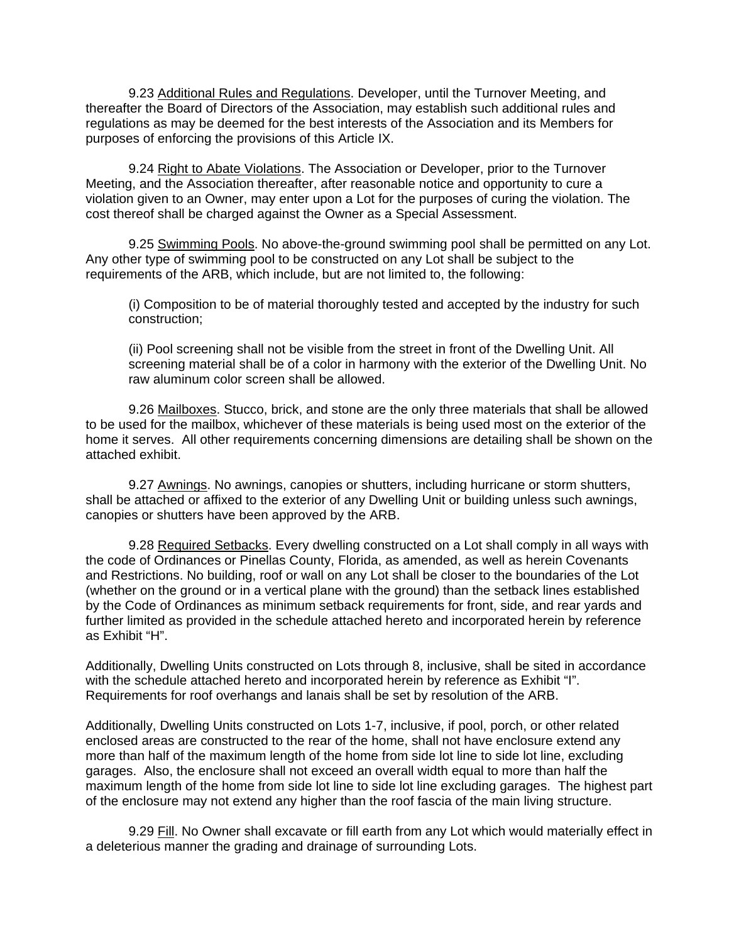9.23 Additional Rules and Regulations. Developer, until the Turnover Meeting, and thereafter the Board of Directors of the Association, may establish such additional rules and regulations as may be deemed for the best interests of the Association and its Members for purposes of enforcing the provisions of this Article IX.

9.24 Right to Abate Violations. The Association or Developer, prior to the Turnover Meeting, and the Association thereafter, after reasonable notice and opportunity to cure a violation given to an Owner, may enter upon a Lot for the purposes of curing the violation. The cost thereof shall be charged against the Owner as a Special Assessment.

9.25 Swimming Pools. No above-the-ground swimming pool shall be permitted on any Lot. Any other type of swimming pool to be constructed on any Lot shall be subject to the requirements of the ARB, which include, but are not limited to, the following:

(i) Composition to be of material thoroughly tested and accepted by the industry for such construction;

(ii) Pool screening shall not be visible from the street in front of the Dwelling Unit. All screening material shall be of a color in harmony with the exterior of the Dwelling Unit. No raw aluminum color screen shall be allowed.

9.26 Mailboxes. Stucco, brick, and stone are the only three materials that shall be allowed to be used for the mailbox, whichever of these materials is being used most on the exterior of the home it serves. All other requirements concerning dimensions are detailing shall be shown on the attached exhibit.

9.27 Awnings. No awnings, canopies or shutters, including hurricane or storm shutters, shall be attached or affixed to the exterior of any Dwelling Unit or building unless such awnings, canopies or shutters have been approved by the ARB.

9.28 Required Setbacks. Every dwelling constructed on a Lot shall comply in all ways with the code of Ordinances or Pinellas County, Florida, as amended, as well as herein Covenants and Restrictions. No building, roof or wall on any Lot shall be closer to the boundaries of the Lot (whether on the ground or in a vertical plane with the ground) than the setback lines established by the Code of Ordinances as minimum setback requirements for front, side, and rear yards and further limited as provided in the schedule attached hereto and incorporated herein by reference as Exhibit "H".

Additionally, Dwelling Units constructed on Lots through 8, inclusive, shall be sited in accordance with the schedule attached hereto and incorporated herein by reference as Exhibit "I". Requirements for roof overhangs and lanais shall be set by resolution of the ARB.

Additionally, Dwelling Units constructed on Lots 1-7, inclusive, if pool, porch, or other related enclosed areas are constructed to the rear of the home, shall not have enclosure extend any more than half of the maximum length of the home from side lot line to side lot line, excluding garages. Also, the enclosure shall not exceed an overall width equal to more than half the maximum length of the home from side lot line to side lot line excluding garages. The highest part of the enclosure may not extend any higher than the roof fascia of the main living structure.

9.29 Fill. No Owner shall excavate or fill earth from any Lot which would materially effect in a deleterious manner the grading and drainage of surrounding Lots.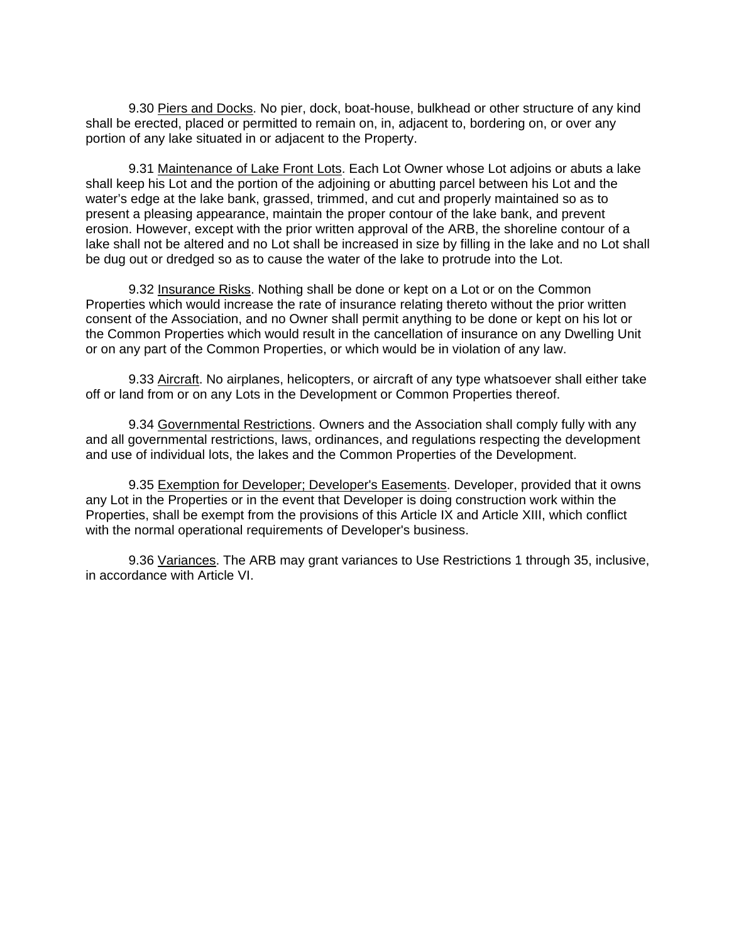9.30 Piers and Docks. No pier, dock, boat-house, bulkhead or other structure of any kind shall be erected, placed or permitted to remain on, in, adjacent to, bordering on, or over any portion of any lake situated in or adjacent to the Property.

9.31 Maintenance of Lake Front Lots. Each Lot Owner whose Lot adjoins or abuts a lake shall keep his Lot and the portion of the adjoining or abutting parcel between his Lot and the water's edge at the lake bank, grassed, trimmed, and cut and properly maintained so as to present a pleasing appearance, maintain the proper contour of the lake bank, and prevent erosion. However, except with the prior written approval of the ARB, the shoreline contour of a lake shall not be altered and no Lot shall be increased in size by filling in the lake and no Lot shall be dug out or dredged so as to cause the water of the lake to protrude into the Lot.

9.32 Insurance Risks. Nothing shall be done or kept on a Lot or on the Common Properties which would increase the rate of insurance relating thereto without the prior written consent of the Association, and no Owner shall permit anything to be done or kept on his lot or the Common Properties which would result in the cancellation of insurance on any Dwelling Unit or on any part of the Common Properties, or which would be in violation of any law.

9.33 Aircraft. No airplanes, helicopters, or aircraft of any type whatsoever shall either take off or land from or on any Lots in the Development or Common Properties thereof.

9.34 Governmental Restrictions. Owners and the Association shall comply fully with any and all governmental restrictions, laws, ordinances, and regulations respecting the development and use of individual lots, the lakes and the Common Properties of the Development.

9.35 Exemption for Developer; Developer's Easements. Developer, provided that it owns any Lot in the Properties or in the event that Developer is doing construction work within the Properties, shall be exempt from the provisions of this Article IX and Article XIII, which conflict with the normal operational requirements of Developer's business.

9.36 Variances. The ARB may grant variances to Use Restrictions 1 through 35, inclusive, in accordance with Article VI.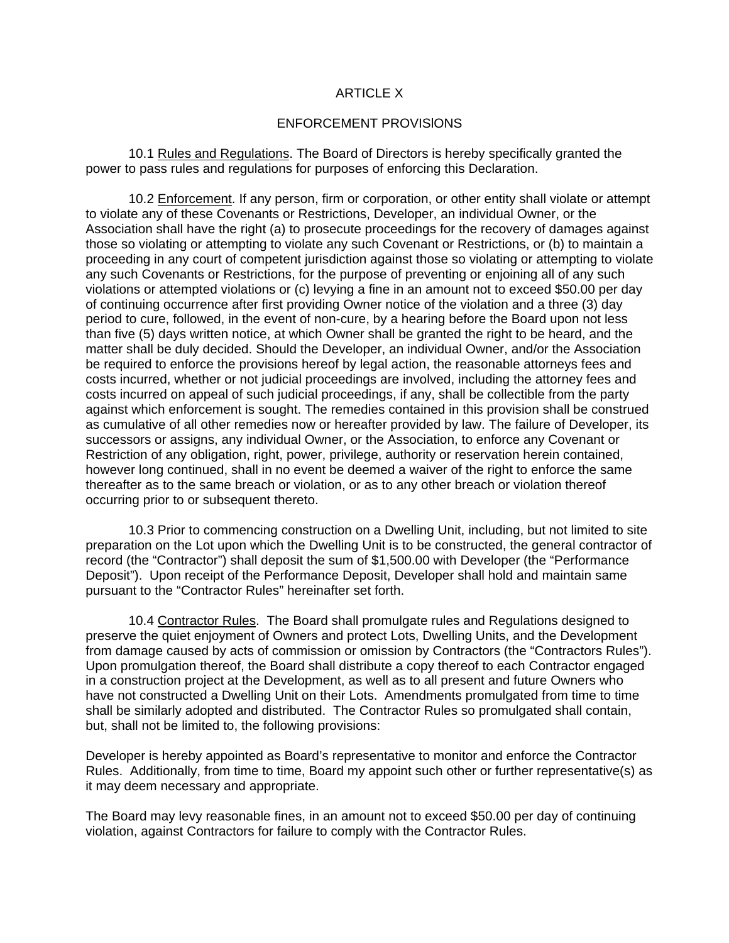#### ARTICLE X

#### ENFORCEMENT PROVISlONS

10.1 Rules and Regulations. The Board of Directors is hereby specifically granted the power to pass rules and regulations for purposes of enforcing this Declaration.

10.2 Enforcement. If any person, firm or corporation, or other entity shall violate or attempt to violate any of these Covenants or Restrictions, Developer, an individual Owner, or the Association shall have the right (a) to prosecute proceedings for the recovery of damages against those so violating or attempting to violate any such Covenant or Restrictions, or (b) to maintain a proceeding in any court of competent jurisdiction against those so violating or attempting to violate any such Covenants or Restrictions, for the purpose of preventing or enjoining all of any such violations or attempted violations or (c) levying a fine in an amount not to exceed \$50.00 per day of continuing occurrence after first providing Owner notice of the violation and a three (3) day period to cure, followed, in the event of non-cure, by a hearing before the Board upon not less than five (5) days written notice, at which Owner shall be granted the right to be heard, and the matter shall be duly decided. Should the Developer, an individual Owner, and/or the Association be required to enforce the provisions hereof by legal action, the reasonable attorneys fees and costs incurred, whether or not judicial proceedings are involved, including the attorney fees and costs incurred on appeal of such judicial proceedings, if any, shall be collectible from the party against which enforcement is sought. The remedies contained in this provision shall be construed as cumulative of all other remedies now or hereafter provided by law. The failure of Developer, its successors or assigns, any individual Owner, or the Association, to enforce any Covenant or Restriction of any obligation, right, power, privilege, authority or reservation herein contained, however long continued, shall in no event be deemed a waiver of the right to enforce the same thereafter as to the same breach or violation, or as to any other breach or violation thereof occurring prior to or subsequent thereto.

10.3 Prior to commencing construction on a Dwelling Unit, including, but not limited to site preparation on the Lot upon which the Dwelling Unit is to be constructed, the general contractor of record (the "Contractor") shall deposit the sum of \$1,500.00 with Developer (the "Performance Deposit"). Upon receipt of the Performance Deposit, Developer shall hold and maintain same pursuant to the "Contractor Rules" hereinafter set forth.

10.4 Contractor Rules. The Board shall promulgate rules and Regulations designed to preserve the quiet enjoyment of Owners and protect Lots, Dwelling Units, and the Development from damage caused by acts of commission or omission by Contractors (the "Contractors Rules"). Upon promulgation thereof, the Board shall distribute a copy thereof to each Contractor engaged in a construction project at the Development, as well as to all present and future Owners who have not constructed a Dwelling Unit on their Lots. Amendments promulgated from time to time shall be similarly adopted and distributed. The Contractor Rules so promulgated shall contain, but, shall not be limited to, the following provisions:

Developer is hereby appointed as Board's representative to monitor and enforce the Contractor Rules. Additionally, from time to time, Board my appoint such other or further representative(s) as it may deem necessary and appropriate.

The Board may levy reasonable fines, in an amount not to exceed \$50.00 per day of continuing violation, against Contractors for failure to comply with the Contractor Rules.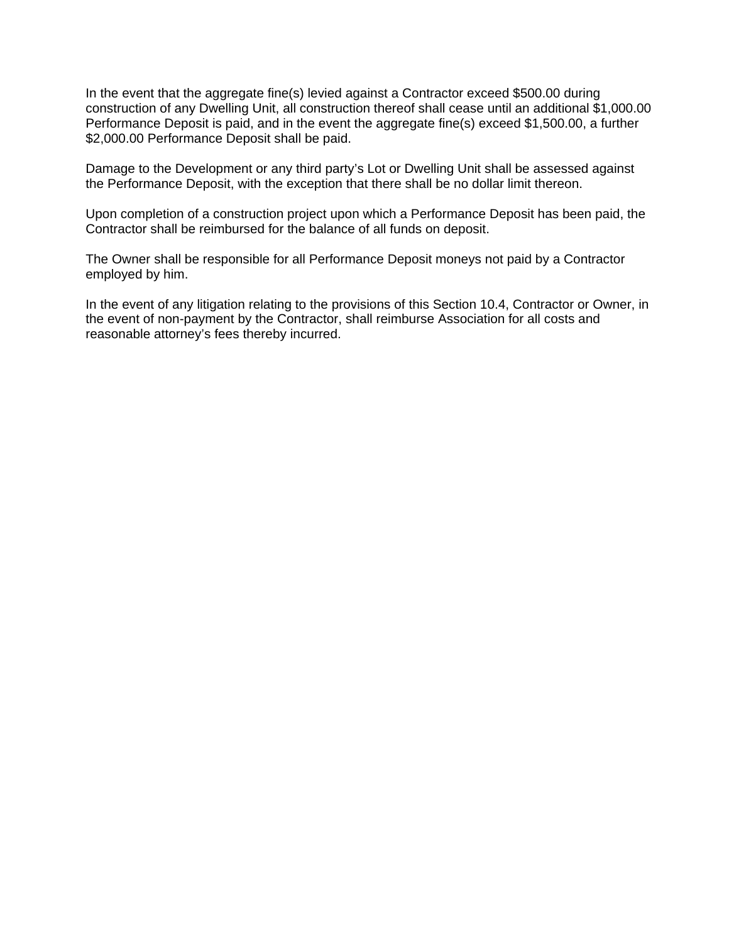In the event that the aggregate fine(s) levied against a Contractor exceed \$500.00 during construction of any Dwelling Unit, all construction thereof shall cease until an additional \$1,000.00 Performance Deposit is paid, and in the event the aggregate fine(s) exceed \$1,500.00, a further \$2,000.00 Performance Deposit shall be paid.

Damage to the Development or any third party's Lot or Dwelling Unit shall be assessed against the Performance Deposit, with the exception that there shall be no dollar limit thereon.

Upon completion of a construction project upon which a Performance Deposit has been paid, the Contractor shall be reimbursed for the balance of all funds on deposit.

The Owner shall be responsible for all Performance Deposit moneys not paid by a Contractor employed by him.

In the event of any litigation relating to the provisions of this Section 10.4, Contractor or Owner, in the event of non-payment by the Contractor, shall reimburse Association for all costs and reasonable attorney's fees thereby incurred.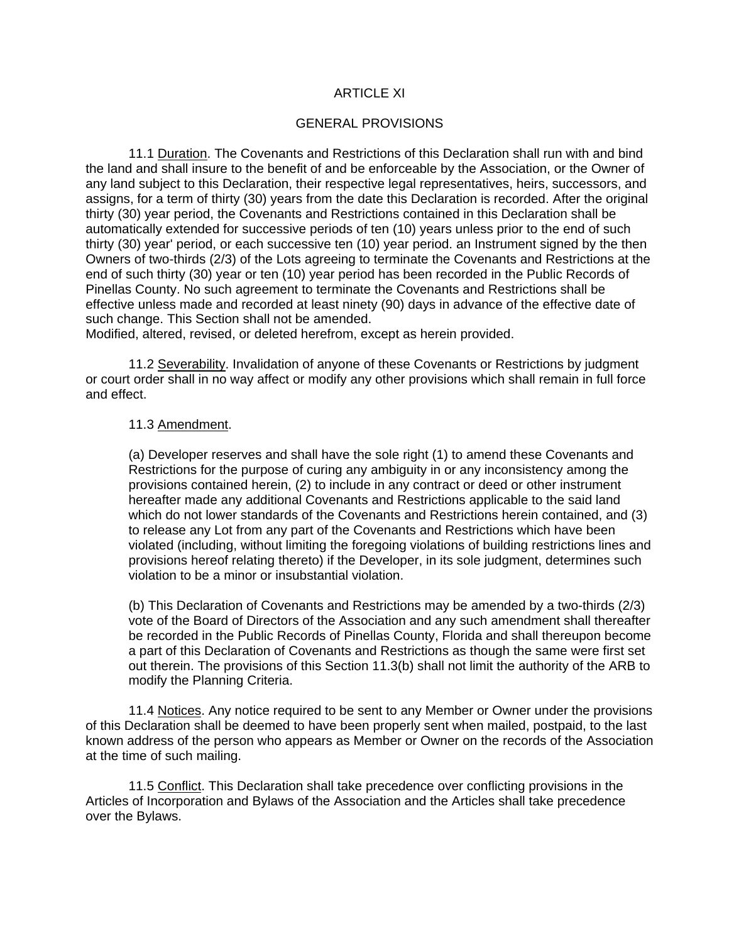### ARTICLE XI

#### GENERAL PROVISIONS

11.1 Duration. The Covenants and Restrictions of this Declaration shall run with and bind the land and shall insure to the benefit of and be enforceable by the Association, or the Owner of any land subject to this Declaration, their respective legal representatives, heirs, successors, and assigns, for a term of thirty (30) years from the date this Declaration is recorded. After the original thirty (30) year period, the Covenants and Restrictions contained in this Declaration shall be automatically extended for successive periods of ten (10) years unless prior to the end of such thirty (30) year' period, or each successive ten (10) year period. an Instrument signed by the then Owners of two-thirds (2/3) of the Lots agreeing to terminate the Covenants and Restrictions at the end of such thirty (30) year or ten (10) year period has been recorded in the Public Records of Pinellas County. No such agreement to terminate the Covenants and Restrictions shall be effective unless made and recorded at least ninety (90) days in advance of the effective date of such change. This Section shall not be amended.

Modified, altered, revised, or deleted herefrom, except as herein provided.

11.2 Severability. Invalidation of anyone of these Covenants or Restrictions by judgment or court order shall in no way affect or modify any other provisions which shall remain in full force and effect.

#### 11.3 Amendment.

(a) Developer reserves and shall have the sole right (1) to amend these Covenants and Restrictions for the purpose of curing any ambiguity in or any inconsistency among the provisions contained herein, (2) to include in any contract or deed or other instrument hereafter made any additional Covenants and Restrictions applicable to the said land which do not lower standards of the Covenants and Restrictions herein contained, and (3) to release any Lot from any part of the Covenants and Restrictions which have been violated (including, without limiting the foregoing violations of building restrictions lines and provisions hereof relating thereto) if the Developer, in its sole judgment, determines such violation to be a minor or insubstantial violation.

(b) This Declaration of Covenants and Restrictions may be amended by a two-thirds (2/3) vote of the Board of Directors of the Association and any such amendment shall thereafter be recorded in the Public Records of Pinellas County, Florida and shall thereupon become a part of this Declaration of Covenants and Restrictions as though the same were first set out therein. The provisions of this Section 11.3(b) shall not limit the authority of the ARB to modify the Planning Criteria.

11.4 Notices. Any notice required to be sent to any Member or Owner under the provisions of this Declaration shall be deemed to have been properly sent when mailed, postpaid, to the last known address of the person who appears as Member or Owner on the records of the Association at the time of such mailing.

11.5 Conflict. This Declaration shall take precedence over conflicting provisions in the Articles of Incorporation and Bylaws of the Association and the Articles shall take precedence over the Bylaws.